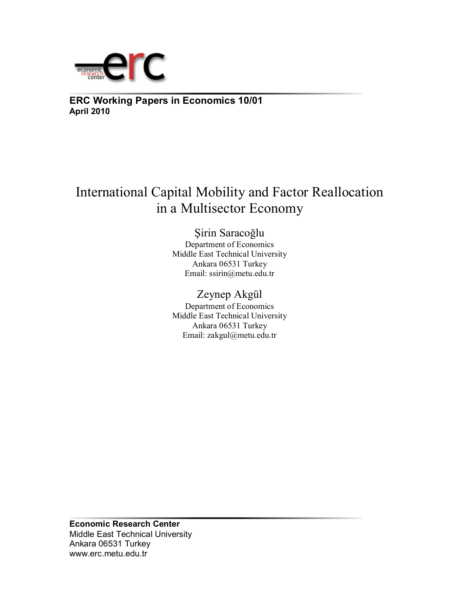

**ERC Working Papers in Economics 10/01 April 2010**

# International Capital Mobility and Factor Reallocation in a Multisector Economy

Şirin Saracoğlu Department of Economics Middle East Technical University Ankara 06531 Turkey Email: ssirin@metu.edu.tr

## Zeynep Akgül

Department of Economics Middle East Technical University Ankara 06531 Turkey Email: zakgul@metu.edu.tr

**Economic Research Center**  Middle East Technical University Ankara 06531 Turkey www.erc.metu.edu.tr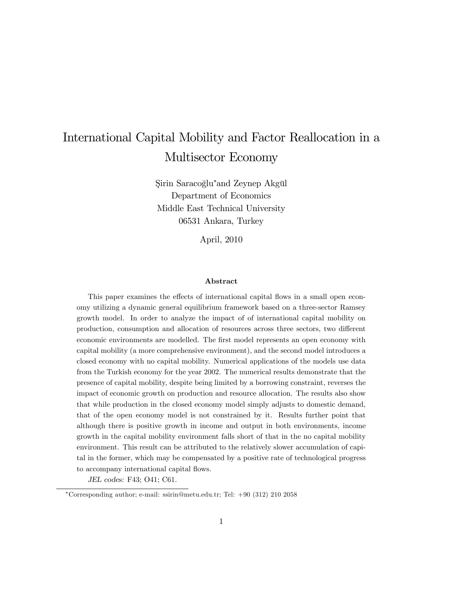## International Capital Mobility and Factor Reallocation in a Multisector Economy

Şirin Saracoğlu\*and Zeynep Akgül Department of Economics Middle East Technical University 06531 Ankara, Turkey

April, 2010

#### Abstract

This paper examines the effects of international capital flows in a small open economy utilizing a dynamic general equilibrium framework based on a three-sector Ramsey growth model. In order to analyze the impact of of international capital mobility on production, consumption and allocation of resources across three sectors, two different economic environments are modelled. The first model represents an open economy with capital mobility (a more comprehensive environment), and the second model introduces a closed economy with no capital mobility. Numerical applications of the models use data from the Turkish economy for the year 2002. The numerical results demonstrate that the presence of capital mobility, despite being limited by a borrowing constraint, reverses the impact of economic growth on production and resource allocation. The results also show that while production in the closed economy model simply adjusts to domestic demand, that of the open economy model is not constrained by it. Results further point that although there is positive growth in income and output in both environments, income growth in the capital mobility environment falls short of that in the no capital mobility environment. This result can be attributed to the relatively slower accumulation of capital in the former, which may be compensated by a positive rate of technological progress to accompany international capital flows.

JEL codes: F43; O41; C61.

Corresponding author; e-mail: ssirin@metu.edu.tr; Tel: +90 (312) 210 2058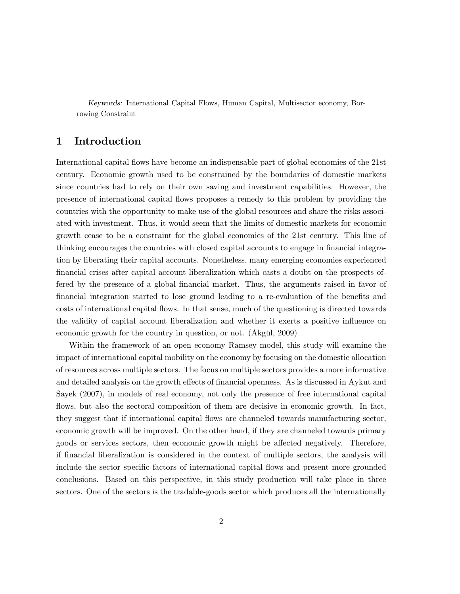Keywords: International Capital Flows, Human Capital, Multisector economy, Borrowing Constraint

## 1 Introduction

International capital áows have become an indispensable part of global economies of the 21st century. Economic growth used to be constrained by the boundaries of domestic markets since countries had to rely on their own saving and investment capabilities. However, the presence of international capital áows proposes a remedy to this problem by providing the countries with the opportunity to make use of the global resources and share the risks associated with investment. Thus, it would seem that the limits of domestic markets for economic growth cease to be a constraint for the global economies of the 21st century. This line of thinking encourages the countries with closed capital accounts to engage in financial integration by liberating their capital accounts. Nonetheless, many emerging economies experienced financial crises after capital account liberalization which casts a doubt on the prospects offered by the presence of a global financial market. Thus, the arguments raised in favor of financial integration started to lose ground leading to a re-evaluation of the benefits and costs of international capital áows. In that sense, much of the questioning is directed towards the validity of capital account liberalization and whether it exerts a positive ináuence on economic growth for the country in question, or not. (Akgül, 2009)

Within the framework of an open economy Ramsey model, this study will examine the impact of international capital mobility on the economy by focusing on the domestic allocation of resources across multiple sectors. The focus on multiple sectors provides a more informative and detailed analysis on the growth effects of financial openness. As is discussed in Aykut and Sayek (2007), in models of real economy, not only the presence of free international capital flows, but also the sectoral composition of them are decisive in economic growth. In fact, they suggest that if international capital áows are channeled towards manufacturing sector, economic growth will be improved. On the other hand, if they are channeled towards primary goods or services sectors, then economic growth might be affected negatively. Therefore, if Önancial liberalization is considered in the context of multiple sectors, the analysis will include the sector specific factors of international capital flows and present more grounded conclusions. Based on this perspective, in this study production will take place in three sectors. One of the sectors is the tradable-goods sector which produces all the internationally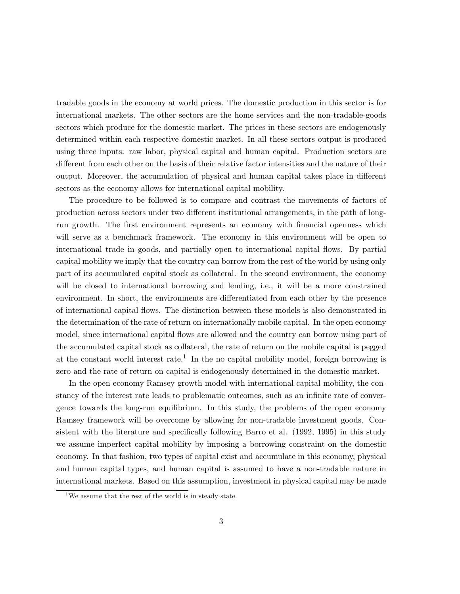tradable goods in the economy at world prices. The domestic production in this sector is for international markets. The other sectors are the home services and the non-tradable-goods sectors which produce for the domestic market. The prices in these sectors are endogenously determined within each respective domestic market. In all these sectors output is produced using three inputs: raw labor, physical capital and human capital. Production sectors are different from each other on the basis of their relative factor intensities and the nature of their output. Moreover, the accumulation of physical and human capital takes place in different sectors as the economy allows for international capital mobility.

The procedure to be followed is to compare and contrast the movements of factors of production across sectors under two different institutional arrangements, in the path of longrun growth. The first environment represents an economy with financial openness which will serve as a benchmark framework. The economy in this environment will be open to international trade in goods, and partially open to international capital flows. By partial capital mobility we imply that the country can borrow from the rest of the world by using only part of its accumulated capital stock as collateral. In the second environment, the economy will be closed to international borrowing and lending, i.e., it will be a more constrained environment. In short, the environments are differentiated from each other by the presence of international capital áows. The distinction between these models is also demonstrated in the determination of the rate of return on internationally mobile capital. In the open economy model, since international capital flows are allowed and the country can borrow using part of the accumulated capital stock as collateral, the rate of return on the mobile capital is pegged at the constant world interest rate.<sup>1</sup> In the no capital mobility model, foreign borrowing is zero and the rate of return on capital is endogenously determined in the domestic market.

In the open economy Ramsey growth model with international capital mobility, the constancy of the interest rate leads to problematic outcomes, such as an infinite rate of convergence towards the long-run equilibrium. In this study, the problems of the open economy Ramsey framework will be overcome by allowing for non-tradable investment goods. Consistent with the literature and specifically following Barro et al. (1992, 1995) in this study we assume imperfect capital mobility by imposing a borrowing constraint on the domestic economy. In that fashion, two types of capital exist and accumulate in this economy, physical and human capital types, and human capital is assumed to have a non-tradable nature in international markets. Based on this assumption, investment in physical capital may be made

<sup>&</sup>lt;sup>1</sup>We assume that the rest of the world is in steady state.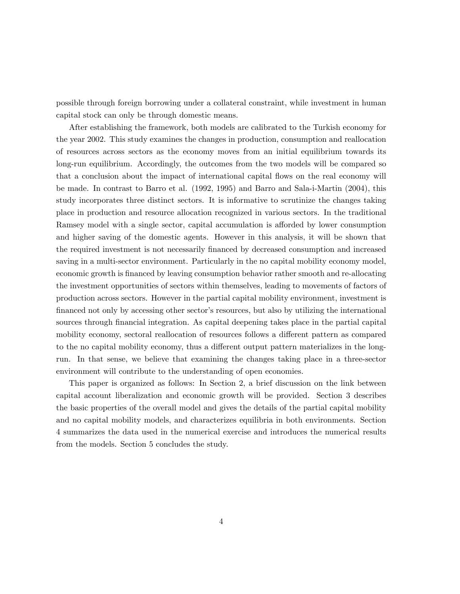possible through foreign borrowing under a collateral constraint, while investment in human capital stock can only be through domestic means.

After establishing the framework, both models are calibrated to the Turkish economy for the year 2002. This study examines the changes in production, consumption and reallocation of resources across sectors as the economy moves from an initial equilibrium towards its long-run equilibrium. Accordingly, the outcomes from the two models will be compared so that a conclusion about the impact of international capital áows on the real economy will be made. In contrast to Barro et al. (1992, 1995) and Barro and Sala-i-Martin (2004), this study incorporates three distinct sectors. It is informative to scrutinize the changes taking place in production and resource allocation recognized in various sectors. In the traditional Ramsey model with a single sector, capital accumulation is afforded by lower consumption and higher saving of the domestic agents. However in this analysis, it will be shown that the required investment is not necessarily Önanced by decreased consumption and increased saving in a multi-sector environment. Particularly in the no capital mobility economy model, economic growth is Önanced by leaving consumption behavior rather smooth and re-allocating the investment opportunities of sectors within themselves, leading to movements of factors of production across sectors. However in the partial capital mobility environment, investment is financed not only by accessing other sector's resources, but also by utilizing the international sources through financial integration. As capital deepening takes place in the partial capital mobility economy, sectoral reallocation of resources follows a different pattern as compared to the no capital mobility economy, thus a different output pattern materializes in the longrun. In that sense, we believe that examining the changes taking place in a three-sector environment will contribute to the understanding of open economies.

This paper is organized as follows: In Section 2, a brief discussion on the link between capital account liberalization and economic growth will be provided. Section 3 describes the basic properties of the overall model and gives the details of the partial capital mobility and no capital mobility models, and characterizes equilibria in both environments. Section 4 summarizes the data used in the numerical exercise and introduces the numerical results from the models. Section 5 concludes the study.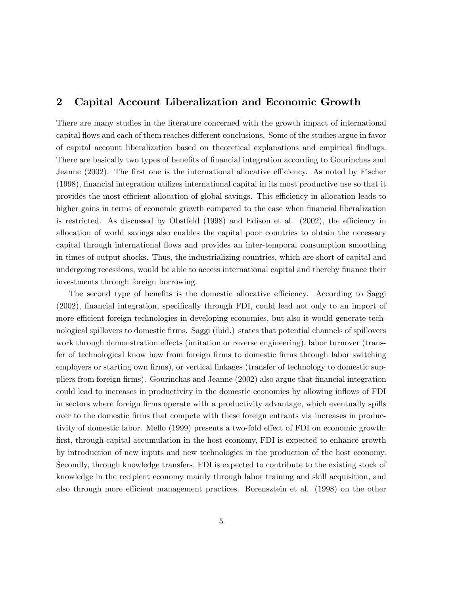## 2 Capital Account Liberalization and Economic Growth

There are many studies in the literature concerned with the growth impact of international capital flows and each of them reaches different conclusions. Some of the studies argue in favor of capital account liberalization based on theoretical explanations and empirical Öndings. There are basically two types of benefits of financial integration according to Gourinchas and Jeanne (2002). The first one is the international allocative efficiency. As noted by Fischer (1998), Önancial integration utilizes international capital in its most productive use so that it provides the most efficient allocation of global savings. This efficiency in allocation leads to higher gains in terms of economic growth compared to the case when financial liberalization is restricted. As discussed by Obstfeld  $(1998)$  and Edison et al.  $(2002)$ , the efficiency in allocation of world savings also enables the capital poor countries to obtain the necessary capital through international áows and provides an inter-temporal consumption smoothing in times of output shocks. Thus, the industrializing countries, which are short of capital and undergoing recessions, would be able to access international capital and thereby finance their investments through foreign borrowing.

The second type of benefits is the domestic allocative efficiency. According to Saggi (2002), financial integration, specifically through FDI, could lead not only to an import of more efficient foreign technologies in developing economies, but also it would generate technological spillovers to domestic Örms. Saggi (ibid.) states that potential channels of spillovers work through demonstration effects (imitation or reverse engineering), labor turnover (transfer of technological know how from foreign firms to domestic firms through labor switching employers or starting own firms), or vertical linkages (transfer of technology to domestic suppliers from foreign Örms). Gourinchas and Jeanne (2002) also argue that Önancial integration could lead to increases in productivity in the domestic economies by allowing inflows of FDI in sectors where foreign firms operate with a productivity advantage, which eventually spills over to the domestic Örms that compete with these foreign entrants via increases in productivity of domestic labor. Mello (1999) presents a two-fold effect of FDI on economic growth: first, through capital accumulation in the host economy, FDI is expected to enhance growth by introduction of new inputs and new technologies in the production of the host economy. Secondly, through knowledge transfers, FDI is expected to contribute to the existing stock of knowledge in the recipient economy mainly through labor training and skill acquisition, and also through more efficient management practices. Borensztein et al. (1998) on the other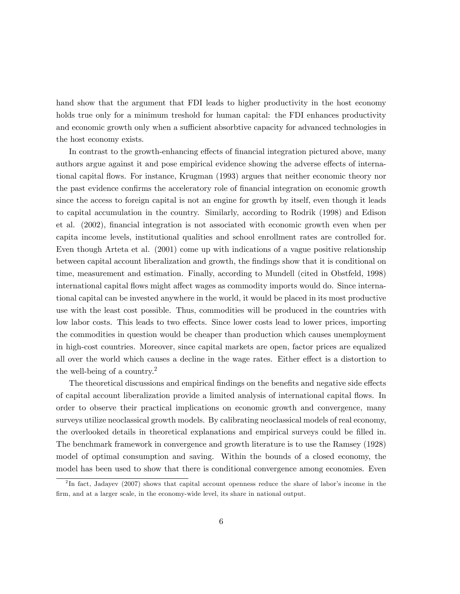hand show that the argument that FDI leads to higher productivity in the host economy holds true only for a minimum treshold for human capital: the FDI enhances productivity and economic growth only when a sufficient absorbtive capacity for advanced technologies in the host economy exists.

In contrast to the growth-enhancing effects of financial integration pictured above, many authors argue against it and pose empirical evidence showing the adverse effects of international capital áows. For instance, Krugman (1993) argues that neither economic theory nor the past evidence confirms the acceleratory role of financial integration on economic growth since the access to foreign capital is not an engine for growth by itself, even though it leads to capital accumulation in the country. Similarly, according to Rodrik (1998) and Edison et al. (2002), Önancial integration is not associated with economic growth even when per capita income levels, institutional qualities and school enrollment rates are controlled for. Even though Arteta et al. (2001) come up with indications of a vague positive relationship between capital account liberalization and growth, the findings show that it is conditional on time, measurement and estimation. Finally, according to Mundell (cited in Obstfeld, 1998) international capital flows might affect wages as commodity imports would do. Since international capital can be invested anywhere in the world, it would be placed in its most productive use with the least cost possible. Thus, commodities will be produced in the countries with low labor costs. This leads to two effects. Since lower costs lead to lower prices, importing the commodities in question would be cheaper than production which causes unemployment in high-cost countries. Moreover, since capital markets are open, factor prices are equalized all over the world which causes a decline in the wage rates. Either effect is a distortion to the well-being of a country.<sup>2</sup>

The theoretical discussions and empirical findings on the benefits and negative side effects of capital account liberalization provide a limited analysis of international capital áows. In order to observe their practical implications on economic growth and convergence, many surveys utilize neoclassical growth models. By calibrating neoclassical models of real economy, the overlooked details in theoretical explanations and empirical surveys could be filled in. The benchmark framework in convergence and growth literature is to use the Ramsey (1928) model of optimal consumption and saving. Within the bounds of a closed economy, the model has been used to show that there is conditional convergence among economies. Even

<sup>&</sup>lt;sup>2</sup>In fact, Jadayev (2007) shows that capital account openness reduce the share of labor's income in the firm, and at a larger scale, in the economy-wide level, its share in national output.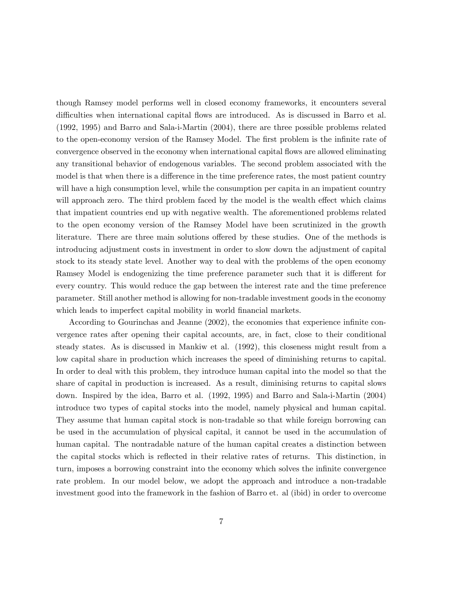though Ramsey model performs well in closed economy frameworks, it encounters several difficulties when international capital flows are introduced. As is discussed in Barro et al. (1992, 1995) and Barro and Sala-i-Martin (2004), there are three possible problems related to the open-economy version of the Ramsey Model. The first problem is the infinite rate of convergence observed in the economy when international capital flows are allowed eliminating any transitional behavior of endogenous variables. The second problem associated with the model is that when there is a difference in the time preference rates, the most patient country will have a high consumption level, while the consumption per capita in an impatient country will approach zero. The third problem faced by the model is the wealth effect which claims that impatient countries end up with negative wealth. The aforementioned problems related to the open economy version of the Ramsey Model have been scrutinized in the growth literature. There are three main solutions offered by these studies. One of the methods is introducing adjustment costs in investment in order to slow down the adjustment of capital stock to its steady state level. Another way to deal with the problems of the open economy Ramsey Model is endogenizing the time preference parameter such that it is different for every country. This would reduce the gap between the interest rate and the time preference parameter. Still another method is allowing for non-tradable investment goods in the economy which leads to imperfect capital mobility in world financial markets.

According to Gourinchas and Jeanne (2002), the economies that experience infinite convergence rates after opening their capital accounts, are, in fact, close to their conditional steady states. As is discussed in Mankiw et al. (1992), this closeness might result from a low capital share in production which increases the speed of diminishing returns to capital. In order to deal with this problem, they introduce human capital into the model so that the share of capital in production is increased. As a result, diminising returns to capital slows down. Inspired by the idea, Barro et al. (1992, 1995) and Barro and Sala-i-Martin (2004) introduce two types of capital stocks into the model, namely physical and human capital. They assume that human capital stock is non-tradable so that while foreign borrowing can be used in the accumulation of physical capital, it cannot be used in the accumulation of human capital. The nontradable nature of the human capital creates a distinction between the capital stocks which is reflected in their relative rates of returns. This distinction, in turn, imposes a borrowing constraint into the economy which solves the infinite convergence rate problem. In our model below, we adopt the approach and introduce a non-tradable investment good into the framework in the fashion of Barro et. al (ibid) in order to overcome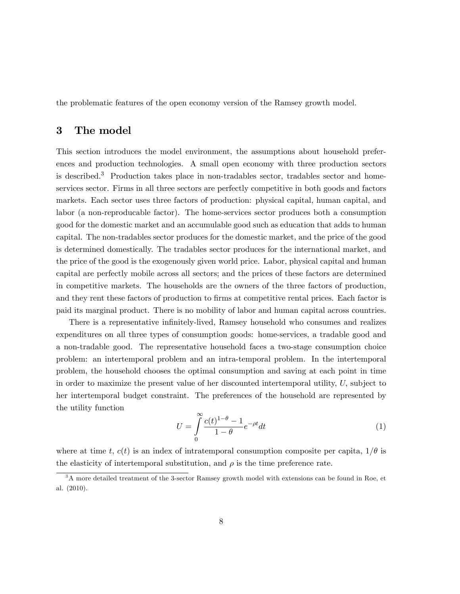the problematic features of the open economy version of the Ramsey growth model.

### 3 The model

This section introduces the model environment, the assumptions about household preferences and production technologies. A small open economy with three production sectors is described.<sup>3</sup> Production takes place in non-tradables sector, tradables sector and homeservices sector. Firms in all three sectors are perfectly competitive in both goods and factors markets. Each sector uses three factors of production: physical capital, human capital, and labor (a non-reproducable factor). The home-services sector produces both a consumption good for the domestic market and an accumulable good such as education that adds to human capital. The non-tradables sector produces for the domestic market, and the price of the good is determined domestically. The tradables sector produces for the international market, and the price of the good is the exogenously given world price. Labor, physical capital and human capital are perfectly mobile across all sectors; and the prices of these factors are determined in competitive markets. The households are the owners of the three factors of production, and they rent these factors of production to firms at competitive rental prices. Each factor is paid its marginal product. There is no mobility of labor and human capital across countries.

There is a representative infinitely-lived, Ramsey household who consumes and realizes expenditures on all three types of consumption goods: home-services, a tradable good and a non-tradable good. The representative household faces a two-stage consumption choice problem: an intertemporal problem and an intra-temporal problem. In the intertemporal problem, the household chooses the optimal consumption and saving at each point in time in order to maximize the present value of her discounted intertemporal utility,  $U$ , subject to her intertemporal budget constraint. The preferences of the household are represented by the utility function

$$
U = \int_{0}^{\infty} \frac{c(t)^{1-\theta} - 1}{1-\theta} e^{-\rho t} dt
$$
 (1)

where at time t,  $c(t)$  is an index of intratemporal consumption composite per capita,  $1/\theta$  is the elasticity of intertemporal substitution, and  $\rho$  is the time preference rate.

<sup>3</sup>A more detailed treatment of the 3-sector Ramsey growth model with extensions can be found in Roe, et al. (2010).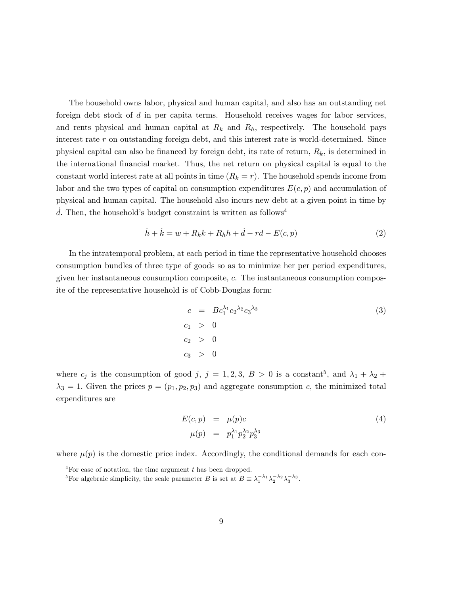The household owns labor, physical and human capital, and also has an outstanding net foreign debt stock of d in per capita terms. Household receives wages for labor services, and rents physical and human capital at  $R_k$  and  $R_h$ , respectively. The household pays interest rate  $r$  on outstanding foreign debt, and this interest rate is world-determined. Since physical capital can also be financed by foreign debt, its rate of return,  $R_k$ , is determined in the international financial market. Thus, the net return on physical capital is equal to the constant world interest rate at all points in time  $(R_k = r)$ . The household spends income from labor and the two types of capital on consumption expenditures  $E(c, p)$  and accumulation of physical and human capital. The household also incurs new debt at a given point in time by d. Then, the household's budget constraint is written as follows<sup>4</sup>

$$
\dot{h} + \dot{k} = w + R_k k + R_h h + \dot{d} - rd - E(c, p) \tag{2}
$$

In the intratemporal problem, at each period in time the representative household chooses consumption bundles of three type of goods so as to minimize her per period expenditures, given her instantaneous consumption composite, c. The instantaneous consumption composite of the representative household is of Cobb-Douglas form:

$$
c = Bc_1^{\lambda_1}c_2^{\lambda_2}c_3^{\lambda_3}
$$
  
\n
$$
c_1 > 0
$$
  
\n
$$
c_2 > 0
$$
  
\n
$$
c_3 > 0
$$
  
\n(3)

where  $c_j$  is the consumption of good j,  $j = 1, 2, 3, B > 0$  is a constant<sup>5</sup>, and  $\lambda_1 + \lambda_2 +$  $\lambda_3 = 1$ . Given the prices  $p = (p_1, p_2, p_3)$  and aggregate consumption c, the minimized total expenditures are

$$
E(c, p) = \mu(p)c
$$
  
\n
$$
\mu(p) = p_1^{\lambda_1} p_2^{\lambda_2} p_3^{\lambda_3}
$$
\n(4)

where  $\mu(p)$  is the domestic price index. Accordingly, the conditional demands for each con-

 ${}^{4}$ For ease of notation, the time argument t has been dropped.

<sup>&</sup>lt;sup>5</sup>For algebraic simplicity, the scale parameter B is set at  $B = \lambda_1^{-\lambda_1} \lambda_2^{-\lambda_2} \lambda_3^{-\lambda_3}$ .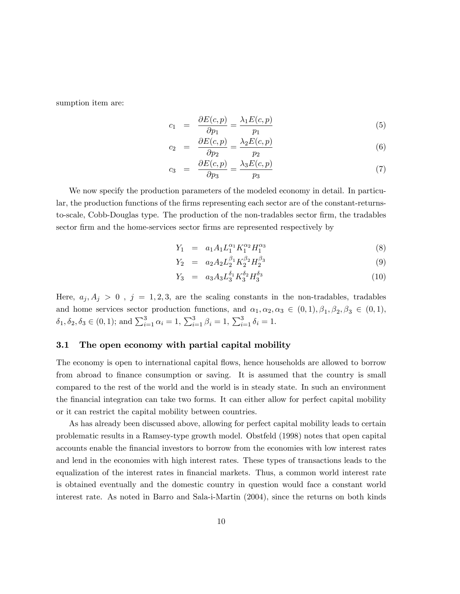sumption item are:

$$
c_1 = \frac{\partial E(c, p)}{\partial p_1} = \frac{\lambda_1 E(c, p)}{p_1} \tag{5}
$$

$$
c_2 = \frac{\partial E(c, p)}{\partial p_2} = \frac{\lambda_2 E(c, p)}{p_2} \tag{6}
$$

$$
c_3 = \frac{\partial E(c, p)}{\partial p_3} = \frac{\lambda_3 E(c, p)}{p_3} \tag{7}
$$

We now specify the production parameters of the modeled economy in detail. In particular, the production functions of the firms representing each sector are of the constant-returnsto-scale, Cobb-Douglas type. The production of the non-tradables sector firm, the tradables sector Örm and the home-services sector Örms are represented respectively by

$$
Y_1 = a_1 A_1 L_1^{\alpha_1} K_1^{\alpha_2} H_1^{\alpha_3} \tag{8}
$$

$$
Y_2 = a_2 A_2 L_2^{\beta_1} K_2^{\beta_2} H_2^{\beta_3} \tag{9}
$$

$$
Y_3 = a_3 A_3 L_3^{\delta_1} K_3^{\delta_2} H_3^{\delta_3} \tag{10}
$$

Here,  $a_j, A_j > 0$ ,  $j = 1, 2, 3$ , are the scaling constants in the non-tradables, tradables and home services sector production functions, and  $\alpha_1, \alpha_2, \alpha_3 \in (0,1), \beta_1, \beta_2, \beta_3 \in (0,1),$  $\delta_1, \delta_2, \delta_3 \in (0, 1);$  and  $\sum_{i=1}^3 \alpha_i = 1, \sum_{i=1}^3 \beta_i = 1, \sum_{i=1}^3 \delta_i = 1.$ 

#### 3.1 The open economy with partial capital mobility

The economy is open to international capital flows, hence households are allowed to borrow from abroad to finance consumption or saving. It is assumed that the country is small compared to the rest of the world and the world is in steady state. In such an environment the financial integration can take two forms. It can either allow for perfect capital mobility or it can restrict the capital mobility between countries.

As has already been discussed above, allowing for perfect capital mobility leads to certain problematic results in a Ramsey-type growth model. Obstfeld (1998) notes that open capital accounts enable the Önancial investors to borrow from the economies with low interest rates and lend in the economies with high interest rates. These types of transactions leads to the equalization of the interest rates in financial markets. Thus, a common world interest rate is obtained eventually and the domestic country in question would face a constant world interest rate. As noted in Barro and Sala-i-Martin (2004), since the returns on both kinds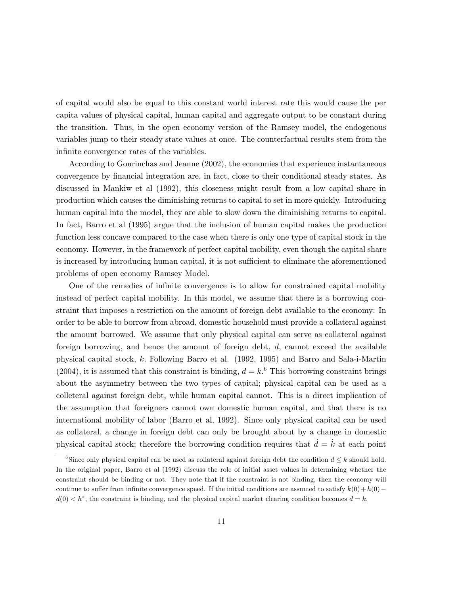of capital would also be equal to this constant world interest rate this would cause the per capita values of physical capital, human capital and aggregate output to be constant during the transition. Thus, in the open economy version of the Ramsey model, the endogenous variables jump to their steady state values at once. The counterfactual results stem from the infinite convergence rates of the variables.

According to Gourinchas and Jeanne (2002), the economies that experience instantaneous convergence by Önancial integration are, in fact, close to their conditional steady states. As discussed in Mankiw et al (1992), this closeness might result from a low capital share in production which causes the diminishing returns to capital to set in more quickly. Introducing human capital into the model, they are able to slow down the diminishing returns to capital. In fact, Barro et al (1995) argue that the inclusion of human capital makes the production function less concave compared to the case when there is only one type of capital stock in the economy. However, in the framework of perfect capital mobility, even though the capital share is increased by introducing human capital, it is not sufficient to eliminate the aforementioned problems of open economy Ramsey Model.

One of the remedies of infinite convergence is to allow for constrained capital mobility instead of perfect capital mobility. In this model, we assume that there is a borrowing constraint that imposes a restriction on the amount of foreign debt available to the economy: In order to be able to borrow from abroad, domestic household must provide a collateral against the amount borrowed. We assume that only physical capital can serve as collateral against foreign borrowing, and hence the amount of foreign debt,  $d$ , cannot exceed the available physical capital stock, k: Following Barro et al. (1992, 1995) and Barro and Sala-i-Martin (2004), it is assumed that this constraint is binding,  $d = k$ <sup>6</sup> This borrowing constraint brings about the asymmetry between the two types of capital; physical capital can be used as a colleteral against foreign debt, while human capital cannot. This is a direct implication of the assumption that foreigners cannot own domestic human capital, and that there is no international mobility of labor (Barro et al, 1992). Since only physical capital can be used as collateral, a change in foreign debt can only be brought about by a change in domestic physical capital stock; therefore the borrowing condition requires that  $d = k$  at each point

<sup>&</sup>lt;sup>6</sup>Since only physical capital can be used as collateral against foreign debt the condition  $d \leq k$  should hold. In the original paper, Barro et al (1992) discuss the role of initial asset values in determining whether the constraint should be binding or not. They note that if the constraint is not binding, then the economy will continue to suffer from infinite convergence speed. If the initial conditions are assumed to satisfy  $k(0)+h(0)$  $d(0) < h^*$ , the constraint is binding, and the physical capital market clearing condition becomes  $d = k$ .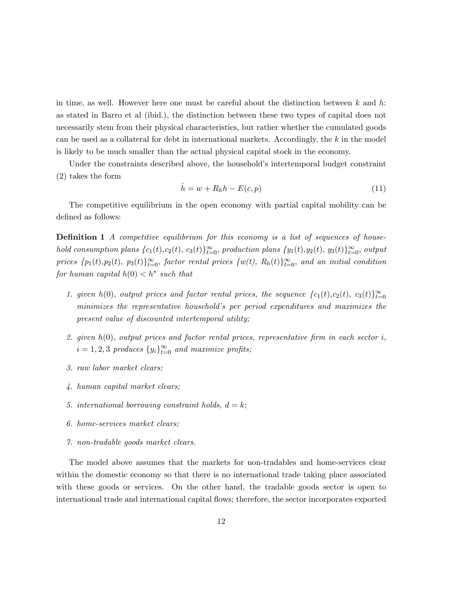in time, as well. However here one must be careful about the distinction between  $k$  and  $h$ : as stated in Barro et al (ibid.), the distinction between these two types of capital does not necessarily stem from their physical characteristics, but rather whether the cumulated goods can be used as a collateral for debt in international markets. Accordingly, the  $k$  in the model is likely to be much smaller than the actual physical capital stock in the economy.

Under the constraints described above, the household's intertemporal budget constraint (2) takes the form

$$
\dot{h} = w + R_h h - E(c, p) \tag{11}
$$

The competitive equilibrium in the open economy with partial capital mobility can be defined as follows:

**Definition 1** A competitive equilibrium for this economy is a list of sequences of household consumption plans  ${c_1(t), c_2(t), c_3(t)}_{t=0}^{\infty}$ , production plans  ${y_1(t), y_2(t), y_3(t)}_{t=0}^{\infty}$ , output prices  $\{p_1(t), p_2(t), p_3(t)\}_{t=0}^{\infty}$ , factor rental prices  $\{w(t), R_h(t)\}_{t=0}^{\infty}$ , and an initial condition for human capital  $h(0) < h^*$  such that

- 1. given  $h(0)$ , output prices and factor rental prices, the sequence  $\{c_1(t), c_2(t), c_3(t)\}_{t=0}^{\infty}$ minimizes the representative householdís per period expenditures and maximizes the present value of discounted intertemporal utility;
- 2. given  $h(0)$ , output prices and factor rental prices, representative firm in each sector i,  $i = 1, 2, 3$  produces  $\{y_i\}_{i=0}^{\infty}$  and maximize profits;
- 3. raw labor market clears;
- 4. human capital market clears;
- 5. international borrowing constraint holds,  $d = k$ ;
- 6. home-services market clears;
- 7. non-tradable goods market clears.

The model above assumes that the markets for non-tradables and home-services clear within the domestic economy so that there is no international trade taking place associated with these goods or services. On the other hand, the tradable goods sector is open to international trade and international capital áows; therefore, the sector incorporates exported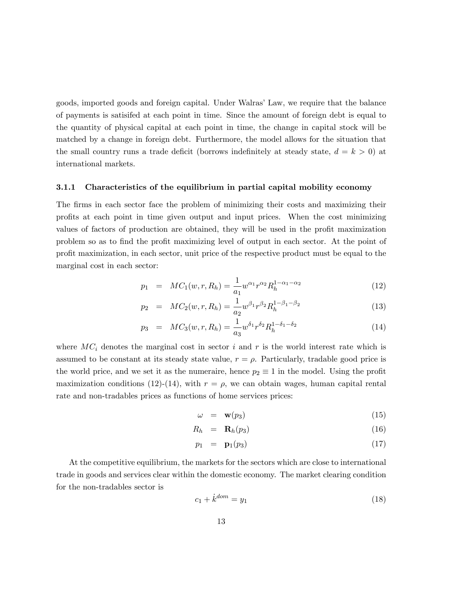goods, imported goods and foreign capital. Under Walras' Law, we require that the balance of payments is satisifed at each point in time. Since the amount of foreign debt is equal to the quantity of physical capital at each point in time, the change in capital stock will be matched by a change in foreign debt. Furthermore, the model allows for the situation that the small country runs a trade deficit (borrows indefinitely at steady state,  $d = k > 0$ ) at international markets.

#### 3.1.1 Characteristics of the equilibrium in partial capital mobility economy

The firms in each sector face the problem of minimizing their costs and maximizing their proÖts at each point in time given output and input prices. When the cost minimizing values of factors of production are obtained, they will be used in the profit maximization problem so as to find the profit maximizing level of output in each sector. At the point of profit maximization, in each sector, unit price of the respective product must be equal to the marginal cost in each sector:

$$
p_1 = MC_1(w, r, R_h) = \frac{1}{a_1} w^{\alpha_1} r^{\alpha_2} R_h^{1-\alpha_1-\alpha_2}
$$
\n(12)

$$
p_2 = MC_2(w, r, R_h) = \frac{1}{a_2} w^{\beta_1} r^{\beta_2} R_h^{1-\beta_1-\beta_2}
$$
\n(13)

$$
p_3 = MC_3(w, r, R_h) = \frac{1}{a_3} w^{\delta_1} r^{\delta_2} R_h^{1 - \delta_1 - \delta_2}
$$
\n(14)

where  $MC<sub>i</sub>$  denotes the marginal cost in sector i and r is the world interest rate which is assumed to be constant at its steady state value,  $r = \rho$ . Particularly, tradable good price is the world price, and we set it as the numeraire, hence  $p_2 \equiv 1$  in the model. Using the profit maximization conditions (12)-(14), with  $r = \rho$ , we can obtain wages, human capital rental rate and non-tradables prices as functions of home services prices:

$$
\omega = \mathbf{w}(p_3) \tag{15}
$$

$$
R_h = \mathbf{R}_h(p_3) \tag{16}
$$

$$
p_1 = \mathbf{p}_1(p_3) \tag{17}
$$

At the competitive equilibrium, the markets for the sectors which are close to international trade in goods and services clear within the domestic economy. The market clearing condition for the non-tradables sector is

$$
c_1 + \dot{k}^{dom} = y_1 \tag{18}
$$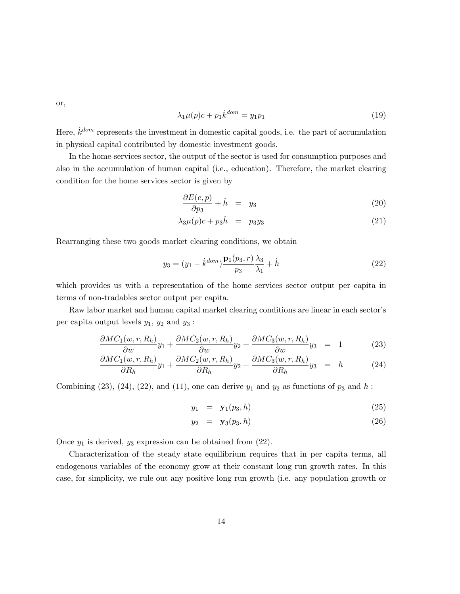or,

$$
\lambda_1 \mu(p)c + p_1 \dot{k}^{dom} = y_1 p_1 \tag{19}
$$

Here,  $\dot{k}^{dom}$  represents the investment in domestic capital goods, i.e. the part of accumulation in physical capital contributed by domestic investment goods.

In the home-services sector, the output of the sector is used for consumption purposes and also in the accumulation of human capital (i.e., education). Therefore, the market clearing condition for the home services sector is given by

$$
\frac{\partial E(c, p)}{\partial p_3} + \dot{h} = y_3 \tag{20}
$$

$$
\lambda_3 \mu(p)c + p_3 \dot{h} = p_3 y_3 \tag{21}
$$

Rearranging these two goods market clearing conditions, we obtain

$$
y_3 = (y_1 - \dot{k}^{dom}) \frac{\mathbf{p}_1(p_3, r)}{p_3} \frac{\lambda_3}{\lambda_1} + \dot{h}
$$
 (22)

which provides us with a representation of the home services sector output per capita in terms of non-tradables sector output per capita.

Raw labor market and human capital market clearing conditions are linear in each sector's per capita output levels  $y_1$ ,  $y_2$  and  $y_3$ :

$$
\frac{\partial MC_1(w,r,R_h)}{\partial w}y_1 + \frac{\partial MC_2(w,r,R_h)}{\partial w}y_2 + \frac{\partial MC_3(w,r,R_h)}{\partial w}y_3 = 1 \tag{23}
$$

$$
\frac{\partial MC_1(w,r,R_h)}{\partial R_h}y_1 + \frac{\partial MC_2(w,r,R_h)}{\partial R_h}y_2 + \frac{\partial MC_3(w,r,R_h)}{\partial R_h}y_3 = h \qquad (24)
$$

Combining  $(23)$ ,  $(24)$ ,  $(22)$ , and  $(11)$ , one can derive  $y_1$  and  $y_2$  as functions of  $p_3$  and  $h$ :

$$
y_1 = \mathbf{y}_1(p_3, h) \tag{25}
$$

$$
y_2 = \mathbf{y}_3(p_3, h) \tag{26}
$$

Once  $y_1$  is derived,  $y_3$  expression can be obtained from  $(22)$ .

Characterization of the steady state equilibrium requires that in per capita terms, all endogenous variables of the economy grow at their constant long run growth rates. In this case, for simplicity, we rule out any positive long run growth (i.e. any population growth or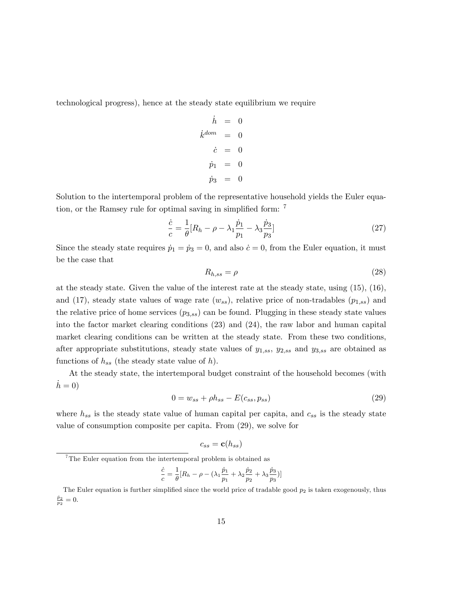technological progress), hence at the steady state equilibrium we require

$$
\begin{aligned}\n\dot{h} &= 0 \\
\dot{k}^{dom} &= 0 \\
\dot{c} &= 0 \\
\dot{p}_1 &= 0 \\
\dot{p}_3 &= 0\n\end{aligned}
$$

Solution to the intertemporal problem of the representative household yields the Euler equation, or the Ramsey rule for optimal saving in simplified form:  $<sup>7</sup>$ </sup>

$$
\frac{\dot{c}}{c} = \frac{1}{\theta} [R_h - \rho - \lambda_1 \frac{\dot{p}_1}{p_1} - \lambda_3 \frac{\dot{p}_3}{p_3}]
$$
\n(27)

Since the steady state requires  $\dot{p}_1 = \dot{p}_3 = 0$ , and also  $\dot{c} = 0$ , from the Euler equation, it must be the case that

$$
R_{h,ss} = \rho \tag{28}
$$

at the steady state. Given the value of the interest rate at the steady state, using (15), (16), and (17), steady state values of wage rate  $(w_{ss})$ , relative price of non-tradables  $(p_{1,ss})$  and the relative price of home services  $(p_{3,ss})$  can be found. Plugging in these steady state values into the factor market clearing conditions (23) and (24), the raw labor and human capital market clearing conditions can be written at the steady state. From these two conditions, after appropriate substitutions, steady state values of  $y_{1,ss}$ ,  $y_{2,ss}$  and  $y_{3,ss}$  are obtained as functions of  $h_{ss}$  (the steady state value of h).

At the steady state, the intertemporal budget constraint of the household becomes (with  $h = 0$ 

$$
0 = w_{ss} + \rho h_{ss} - E(c_{ss}, p_{ss})
$$
\n
$$
(29)
$$

where  $h_{ss}$  is the steady state value of human capital per capita, and  $c_{ss}$  is the steady state value of consumption composite per capita. From (29), we solve for

$$
c_{ss} = \mathbf{c}(h_{ss})
$$

$$
\frac{\dot{c}}{c} = \frac{1}{\theta} [R_h - \rho - (\lambda_1 \frac{\dot{p}_1}{p_1} + \lambda_2 \frac{\dot{p}_2}{p_2} + \lambda_3 \frac{\dot{p}_3}{p_3})]
$$

 $7$ The Euler equation from the intertemporal problem is obtained as

The Euler equation is further simplified since the world price of tradable good  $p_2$  is taken exogenously, thus  $\frac{\dot{p}_2}{p_2} = 0.$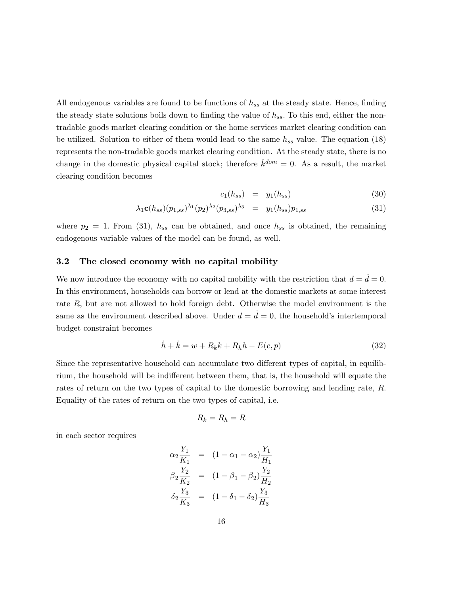All endogenous variables are found to be functions of  $h_{ss}$  at the steady state. Hence, finding the steady state solutions boils down to finding the value of  $h_{ss}$ . To this end, either the nontradable goods market clearing condition or the home services market clearing condition can be utilized. Solution to either of them would lead to the same  $h_{ss}$  value. The equation (18) represents the non-tradable goods market clearing condition. At the steady state, there is no change in the domestic physical capital stock; therefore  $\dot{k}^{dom} = 0$ . As a result, the market clearing condition becomes

$$
c_1(h_{ss}) = y_1(h_{ss}) \t\t(30)
$$

$$
\lambda_1 \mathbf{c}(h_{ss})(p_{1,ss})^{\lambda_1}(p_2)^{\lambda_2}(p_{3,ss})^{\lambda_3} = y_1(h_{ss})p_{1,ss} \tag{31}
$$

where  $p_2 = 1$ . From (31),  $h_{ss}$  can be obtained, and once  $h_{ss}$  is obtained, the remaining endogenous variable values of the model can be found, as well.

#### 3.2 The closed economy with no capital mobility

We now introduce the economy with no capital mobility with the restriction that  $d = d = 0$ . In this environment, households can borrow or lend at the domestic markets at some interest rate R, but are not allowed to hold foreign debt. Otherwise the model environment is the same as the environment described above. Under  $d = d = 0$ , the household's intertemporal budget constraint becomes

$$
\dot{h} + \dot{k} = w + R_k k + R_h h - E(c, p) \tag{32}
$$

Since the representative household can accumulate two different types of capital, in equilibrium, the household will be indifferent between them, that is, the household will equate the rates of return on the two types of capital to the domestic borrowing and lending rate, R. Equality of the rates of return on the two types of capital, i.e.

$$
R_k=R_h=R
$$

in each sector requires

$$
\alpha_2 \frac{Y_1}{K_1} = (1 - \alpha_1 - \alpha_2) \frac{Y_1}{H_1}
$$
  
\n
$$
\beta_2 \frac{Y_2}{K_2} = (1 - \beta_1 - \beta_2) \frac{Y_2}{H_2}
$$
  
\n
$$
\delta_2 \frac{Y_3}{K_3} = (1 - \delta_1 - \delta_2) \frac{Y_3}{H_3}
$$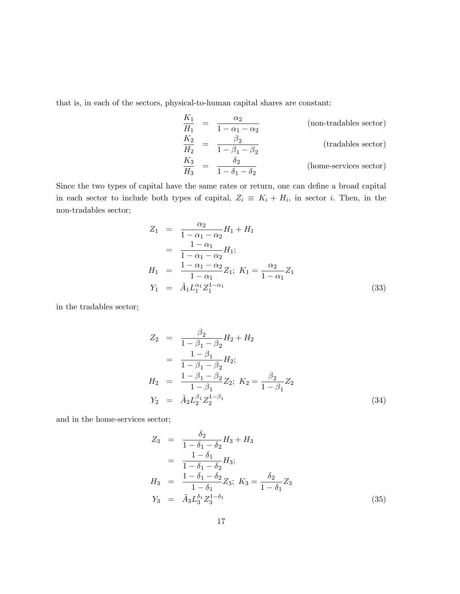that is, in each of the sectors, physical-to-human capital shares are constant:

$$
\frac{K_1}{H_1} = \frac{\alpha_2}{1 - \alpha_1 - \alpha_2}
$$
 (non-tradables sector)  
\n
$$
\frac{K_2}{H_2} = \frac{\beta_2}{1 - \beta_1 - \beta_2}
$$
 (tradables sector)  
\n
$$
\frac{K_3}{H_3} = \frac{\delta_2}{1 - \delta_1 - \delta_2}
$$
 (home-servicees sector)

Since the two types of capital have the same rates or return, one can define a broad capital in each sector to include both types of capital,  $Z_i \equiv K_i + H_i$ , in sector *i*. Then, in the non-tradables sector;

$$
Z_1 = \frac{\alpha_2}{1 - \alpha_1 - \alpha_2} H_1 + H_1
$$
  
= 
$$
\frac{1 - \alpha_1}{1 - \alpha_1 - \alpha_2} H_1;
$$
  

$$
H_1 = \frac{1 - \alpha_1 - \alpha_2}{1 - \alpha_1} Z_1; K_1 = \frac{\alpha_2}{1 - \alpha_1} Z_1
$$
  

$$
Y_1 = \tilde{A}_1 L_1^{\alpha_1} Z_1^{1 - \alpha_1}
$$
(33)

in the tradables sector;

$$
Z_2 = \frac{\beta_2}{1 - \beta_1 - \beta_2} H_2 + H_2
$$
  
= 
$$
\frac{1 - \beta_1}{1 - \beta_1 - \beta_2} H_2;
$$
  

$$
H_2 = \frac{1 - \beta_1 - \beta_2}{1 - \beta_1} Z_2; K_2 = \frac{\beta_2}{1 - \beta_1} Z_2
$$
  

$$
Y_2 = \tilde{A}_2 L_2^{\beta_1} Z_2^{1 - \beta_1}
$$
(34)

and in the home-services sector;

$$
Z_3 = \frac{\delta_2}{1 - \delta_1 - \delta_2} H_3 + H_3
$$
  
= 
$$
\frac{1 - \delta_1}{1 - \delta_1 - \delta_2} H_3;
$$
  

$$
H_3 = \frac{1 - \delta_1 - \delta_2}{1 - \delta_1} Z_3; K_3 = \frac{\delta_2}{1 - \delta_1} Z_3
$$
  

$$
Y_3 = \tilde{A}_3 L_3^{\delta_1} Z_3^{1 - \delta_1}
$$
 (35)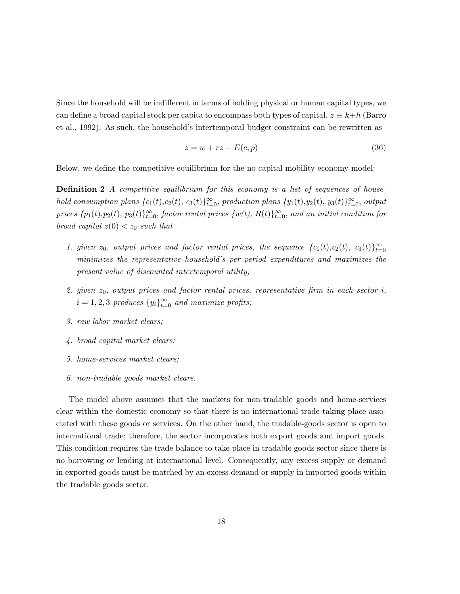Since the household will be indifferent in terms of holding physical or human capital types, we can define a broad capital stock per capita to encompass both types of capital,  $z \equiv k+h$  (Barro et al., 1992). As such, the householdís intertemporal budget constraint can be rewritten as

$$
\dot{z} = w + rz - E(c, p) \tag{36}
$$

Below, we define the competitive equilibrium for the no capital mobility economy model:

**Definition 2** A competitive equilibrium for this economy is a list of sequences of household consumption plans  ${c_1(t), c_2(t), c_3(t)}_{t=0}^{\infty}$ , production plans  ${y_1(t), y_2(t), y_3(t)}_{t=0}^{\infty}$ , output prices  $\{p_1(t), p_2(t), p_3(t)\}_{t=0}^{\infty}$ , factor rental prices  $\{w(t), R(t)\}_{t=0}^{\infty}$ , and an initial condition for broad capital  $z(0) < z_0$  such that

- 1. given  $z_0$ , output prices and factor rental prices, the sequence  $\{c_1(t), c_2(t), c_3(t)\}_{t=0}^{\infty}$ minimizes the representative household's per period expenditures and maximizes the present value of discounted intertemporal utility;
- 2. given  $z_0$ , output prices and factor rental prices, representative firm in each sector i,  $i = 1, 2, 3$  produces  $\{y_i\}_{i=0}^{\infty}$  and maximize profits;
- 3. raw labor market clears;
- 4. broad capital market clears;
- 5. home-services market clears;
- 6. non-tradable goods market clears.

The model above assumes that the markets for non-tradable goods and home-services clear within the domestic economy so that there is no international trade taking place associated with these goods or services. On the other hand, the tradable-goods sector is open to international trade; therefore, the sector incorporates both export goods and import goods. This condition requires the trade balance to take place in tradable goods sector since there is no borrowing or lending at international level. Consequently, any excess supply or demand in exported goods must be matched by an excess demand or supply in imported goods within the tradable goods sector.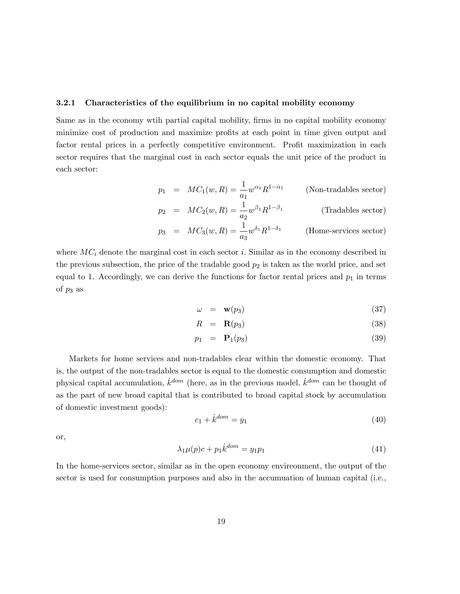#### 3.2.1 Characteristics of the equilibrium in no capital mobility economy

Same as in the economy wtih partial capital mobility, firms in no capital mobility economy minimize cost of production and maximize profits at each point in time given output and factor rental prices in a perfectly competitive environment. Profit maximization in each sector requires that the marginal cost in each sector equals the unit price of the product in each sector:

$$
p_1 = MC_1(w, R) = \frac{1}{a_1} w^{\alpha_1} R^{1-\alpha_1}
$$
 (Non-tradables sector)  

$$
p_2 = MC_2(w, R) = \frac{1}{2} w^{\beta_1} R^{1-\beta_1}
$$
 (Tradables sector)

$$
p_2 = MC_2(w, R) = \frac{1}{a_2} w^{\beta_1} R^{1-\beta_1}
$$
 (Tradables sector)

$$
p_3 = MC_3(w, R) = \frac{1}{a_3} w^{\delta_1} R^{1-\delta_1}
$$
 (Home-servicees sector)

where  $MC_i$  denote the marginal cost in each sector i. Similar as in the economy described in the previous subsection, the price of the tradable good  $p_2$  is taken as the world price, and set equal to 1. Accordingly, we can derive the functions for factor rental prices and  $p_1$  in terms of  $p_3$  as

$$
\omega = \mathbf{w}(p_3) \tag{37}
$$

$$
R = \mathbf{R}(p_3) \tag{38}
$$

$$
p_1 = \mathbf{P}_1(p_3) \tag{39}
$$

Markets for home services and non-tradables clear within the domestic economy. That is, the output of the non-tradables sector is equal to the domestic consumption and domestic physical capital accumulation,  $\dot{k}^{dom}$  (here, as in the previous model,  $\dot{k}^{dom}$  can be thought of as the part of new broad capital that is contributed to broad capital stock by accumulation of domestic investment goods):

$$
c_1 + \dot{k}^{dom} = y_1 \tag{40}
$$

or,

$$
\lambda_1 \mu(p)c + p_1 \dot{k}^{dom} = y_1 p_1 \tag{41}
$$

In the home-services sector, similar as in the open economy envireonment, the output of the sector is used for consumption purposes and also in the accumuation of human capital (i.e.,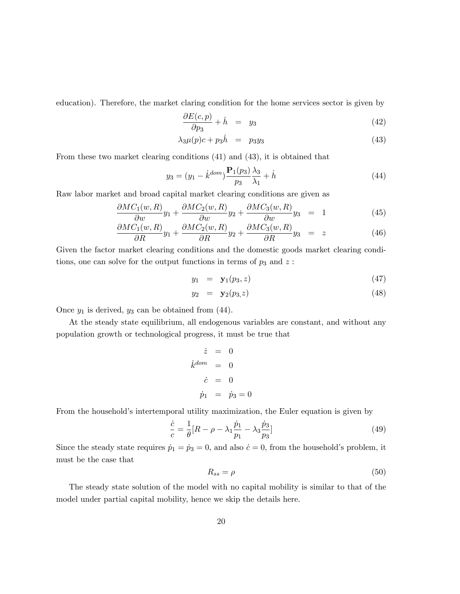education). Therefore, the market claring condition for the home services sector is given by

$$
\frac{\partial E(c, p)}{\partial p_3} + \dot{h} = y_3 \tag{42}
$$

$$
\lambda_3 \mu(p)c + p_3 \dot{h} = p_3 y_3 \tag{43}
$$

From these two market clearing conditions (41) and (43), it is obtained that

$$
y_3 = (y_1 - \dot{k}^{dom}) \frac{\mathbf{P}_1(p_3)}{p_3} \frac{\lambda_3}{\lambda_1} + \dot{h}
$$
 (44)

Raw labor market and broad capital market clearing conditions are given as

$$
\frac{\partial MC_1(w,R)}{\partial w}y_1 + \frac{\partial MC_2(w,R)}{\partial w}y_2 + \frac{\partial MC_3(w,R)}{\partial w}y_3 = 1 \tag{45}
$$

$$
\frac{\partial MC_1(w,R)}{\partial R}y_1 + \frac{\partial MC_2(w,R)}{\partial R}y_2 + \frac{\partial MC_3(w,R)}{\partial R}y_3 = z \qquad (46)
$$

Given the factor market clearing conditions and the domestic goods market clearing conditions, one can solve for the output functions in terms of  $p_3$  and  $z$ :

$$
y_1 = \mathbf{y}_1(p_3, z) \tag{47}
$$

$$
y_2 = \mathbf{y}_2(p_3, z) \tag{48}
$$

Once  $y_1$  is derived,  $y_3$  can be obtained from (44).

At the steady state equilibrium, all endogenous variables are constant, and without any population growth or technological progress, it must be true that

$$
\dot{z} = 0
$$
  

$$
\dot{k}^{dom} = 0
$$
  

$$
\dot{c} = 0
$$
  

$$
\dot{p}_1 = \dot{p}_3 = 0
$$

From the household's intertemporal utility maximization, the Euler equation is given by

$$
\frac{\dot{c}}{c} = \frac{1}{\theta} [R - \rho - \lambda_1 \frac{\dot{p}_1}{p_1} - \lambda_3 \frac{\dot{p}_3}{p_3}]
$$
\n(49)

Since the steady state requires  $\dot{p}_1 = \dot{p}_3 = 0$ , and also  $\dot{c} = 0$ , from the household's problem, it must be the case that

$$
R_{ss} = \rho \tag{50}
$$

The steady state solution of the model with no capital mobility is similar to that of the model under partial capital mobility, hence we skip the details here.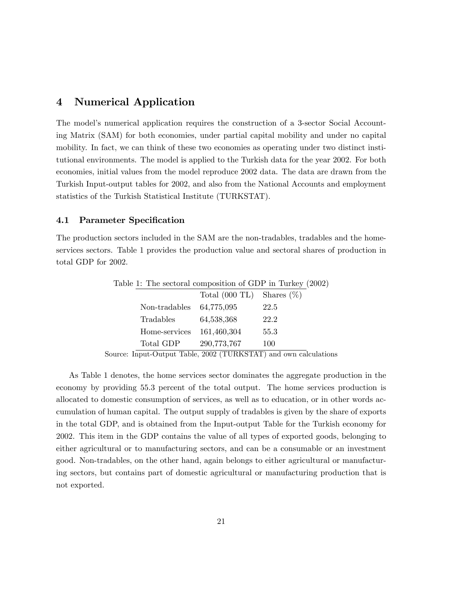## 4 Numerical Application

The model's numerical application requires the construction of a 3-sector Social Accounting Matrix (SAM) for both economies, under partial capital mobility and under no capital mobility. In fact, we can think of these two economies as operating under two distinct institutional environments. The model is applied to the Turkish data for the year 2002. For both economies, initial values from the model reproduce 2002 data. The data are drawn from the Turkish Input-output tables for 2002, and also from the National Accounts and employment statistics of the Turkish Statistical Institute (TURKSTAT).

#### 4.1 Parameter Specification

The production sectors included in the SAM are the non-tradables, tradables and the homeservices sectors. Table 1 provides the production value and sectoral shares of production in total GDP for 2002.

| Table 1: The sectoral composition of GDP in Turkey (2002) |               |                          |               |  |
|-----------------------------------------------------------|---------------|--------------------------|---------------|--|
|                                                           |               | Total $(000 \text{ TL})$ | Shares $(\%)$ |  |
|                                                           | Non-tradables | 64,775,095               | 22.5          |  |
|                                                           | Tradables     | 64,538,368               | 22.2          |  |
|                                                           | Home-services | 161,460,304              | 55.3          |  |
|                                                           | Total GDP     | 290,773,767              | 100           |  |

Source: Input-Output Table, 2002 (TURKSTAT) and own calculations

As Table 1 denotes, the home services sector dominates the aggregate production in the economy by providing 55.3 percent of the total output. The home services production is allocated to domestic consumption of services, as well as to education, or in other words accumulation of human capital. The output supply of tradables is given by the share of exports in the total GDP, and is obtained from the Input-output Table for the Turkish economy for 2002. This item in the GDP contains the value of all types of exported goods, belonging to either agricultural or to manufacturing sectors, and can be a consumable or an investment good. Non-tradables, on the other hand, again belongs to either agricultural or manufacturing sectors, but contains part of domestic agricultural or manufacturing production that is not exported.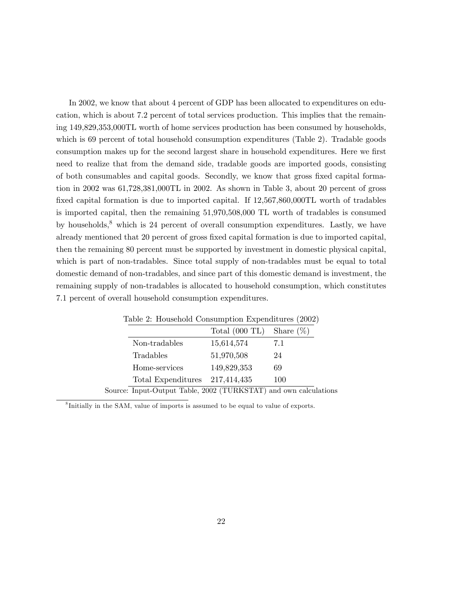In 2002, we know that about 4 percent of GDP has been allocated to expenditures on education, which is about 7.2 percent of total services production. This implies that the remaining 149,829,353,000TL worth of home services production has been consumed by households, which is 69 percent of total household consumption expenditures (Table 2). Tradable goods consumption makes up for the second largest share in household expenditures. Here we first need to realize that from the demand side, tradable goods are imported goods, consisting of both consumables and capital goods. Secondly, we know that gross Öxed capital formation in 2002 was 61,728,381,000TL in 2002. As shown in Table 3, about 20 percent of gross fixed capital formation is due to imported capital. If  $12,567,860,000TL$  worth of tradables is imported capital, then the remaining 51,970,508,000 TL worth of tradables is consumed by households, $\delta$  which is 24 percent of overall consumption expenditures. Lastly, we have already mentioned that 20 percent of gross fixed capital formation is due to imported capital, then the remaining 80 percent must be supported by investment in domestic physical capital, which is part of non-tradables. Since total supply of non-tradables must be equal to total domestic demand of non-tradables, and since part of this domestic demand is investment, the remaining supply of non-tradables is allocated to household consumption, which constitutes 7.1 percent of overall household consumption expenditures.

| Table 2: Household Consumption Expenditures (2002)               |                          |              |
|------------------------------------------------------------------|--------------------------|--------------|
|                                                                  | Total $(000 \text{ TL})$ | Share $(\%)$ |
| Non-tradables                                                    | 15,614,574               | 7.1          |
| Tradables                                                        | 51,970,508               | 24           |
| Home-services                                                    | 149,829,353              | 69           |
| Total Expenditures 217,414,435                                   |                          | 100          |
| Source: Input-Output Table, 2002 (TURKSTAT) and own calculations |                          |              |

Table 2: Household Consumption Expenditures (2002)

8 Initially in the SAM, value of imports is assumed to be equal to value of exports.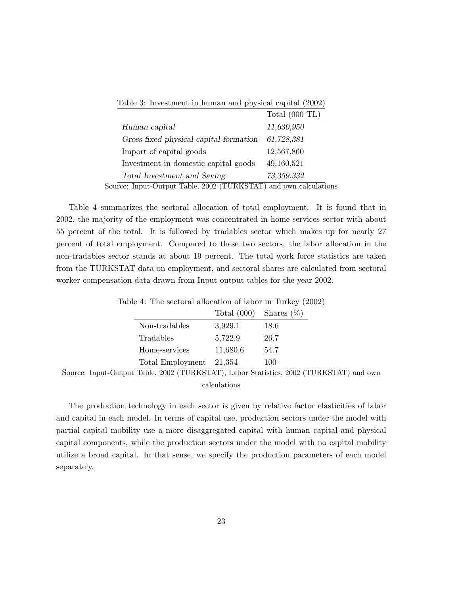|                                        | Total $(000 \text{ TL})$ |
|----------------------------------------|--------------------------|
| Human capital                          | 11,630,950               |
| Gross fixed physical capital formation | 61,728,381               |
| Import of capital goods                | 12,567,860               |
| Investment in domestic capital goods   | 49,160,521               |
| Total Investment and Saving            | 73,359,332               |

Table 3: Investment in human and physical capital (2002)

Source: Input-Output Table, 2002 (TURKSTAT) and own calculations

Table 4 summarizes the sectoral allocation of total employment. It is found that in 2002, the majority of the employment was concentrated in home-services sector with about 55 percent of the total. It is followed by tradables sector which makes up for nearly 27 percent of total employment. Compared to these two sectors, the labor allocation in the non-tradables sector stands at about 19 percent. The total work force statistics are taken from the TURKSTAT data on employment, and sectoral shares are calculated from sectoral worker compensation data drawn from Input-output tables for the year 2002.

| able 4: The sectoral allocation of labor in Turkey (2002) |          |                             |
|-----------------------------------------------------------|----------|-----------------------------|
|                                                           |          | Total $(000)$ Shares $(\%)$ |
| Non-tradables                                             | 3,929.1  | 18.6                        |
| Tradables                                                 | 5,722.9  | 26.7                        |
| Home-services                                             | 11,680.6 | 54.7                        |
| Total Employment                                          | 21,354   | 100                         |

Table  $4$ : The sectoral allocation of labor  $1$ 

Source: Input-Output Table, 2002 (TURKSTAT), Labor Statistics, 2002 (TURKSTAT) and own calculations

The production technology in each sector is given by relative factor elasticities of labor and capital in each model. In terms of capital use, production sectors under the model with partial capital mobility use a more disaggregated capital with human capital and physical capital components, while the production sectors under the model with no capital mobility utilize a broad capital. In that sense, we specify the production parameters of each model separately.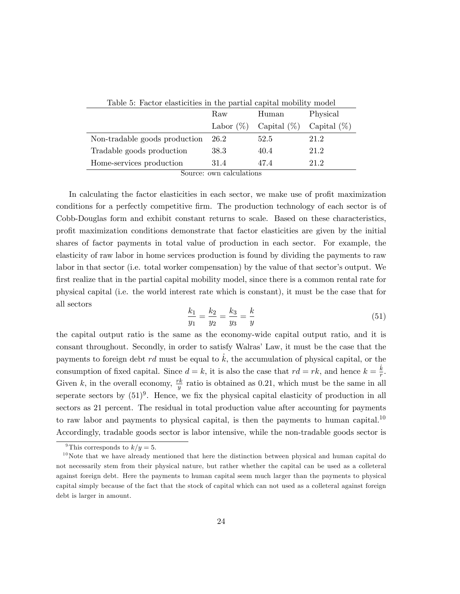| Table 5: Factor elasticities in the partial capital mobility model |              |                |                |  |
|--------------------------------------------------------------------|--------------|----------------|----------------|--|
|                                                                    | Raw          | Human          | Physical       |  |
|                                                                    | Labor $(\%)$ | Capital $(\%)$ | Capital $(\%)$ |  |
| Non-tradable goods production                                      | 26.2         | 52.5           | 21.2           |  |
| Tradable goods production                                          | 38.3         | 40.4           | 21.2           |  |
| Home-services production                                           | 31.4         | 47.4           | 21 2           |  |

Source: own calculations

In calculating the factor elasticities in each sector, we make use of profit maximization conditions for a perfectly competitive firm. The production technology of each sector is of Cobb-Douglas form and exhibit constant returns to scale. Based on these characteristics, proÖt maximization conditions demonstrate that factor elasticities are given by the initial shares of factor payments in total value of production in each sector. For example, the elasticity of raw labor in home services production is found by dividing the payments to raw labor in that sector (i.e. total worker compensation) by the value of that sector's output. We first realize that in the partial capital mobility model, since there is a common rental rate for physical capital (i.e. the world interest rate which is constant), it must be the case that for all sectors

$$
\frac{k_1}{y_1} = \frac{k_2}{y_2} = \frac{k_3}{y_3} = \frac{k}{y}
$$
\n(51)

the capital output ratio is the same as the economy-wide capital output ratio, and it is consant throughout. Secondly, in order to satisfy Walras' Law, it must be the case that the payments to foreign debt rd must be equal to  $k$ , the accumulation of physical capital, or the consumption of fixed capital. Since  $d = k$ , it is also the case that  $rd = rk$ , and hence  $k = \frac{k}{r}$  $\frac{k}{r}$ . Given k, in the overall economy,  $\frac{rk}{y}$  ratio is obtained as 0.21, which must be the same in all seperate sectors by  $(51)^9$ . Hence, we fix the physical capital elasticity of production in all sectors as 21 percent. The residual in total production value after accounting for payments to raw labor and payments to physical capital, is then the payments to human capital.<sup>10</sup> Accordingly, tradable goods sector is labor intensive, while the non-tradable goods sector is

<sup>&</sup>lt;sup>9</sup>This corresponds to  $k/y=5$ .

 $10$ Note that we have already mentioned that here the distinction between physical and human capital do not necessarily stem from their physical nature, but rather whether the capital can be used as a colleteral against foreign debt. Here the payments to human capital seem much larger than the payments to physical capital simply because of the fact that the stock of capital which can not used as a colleteral against foreign debt is larger in amount.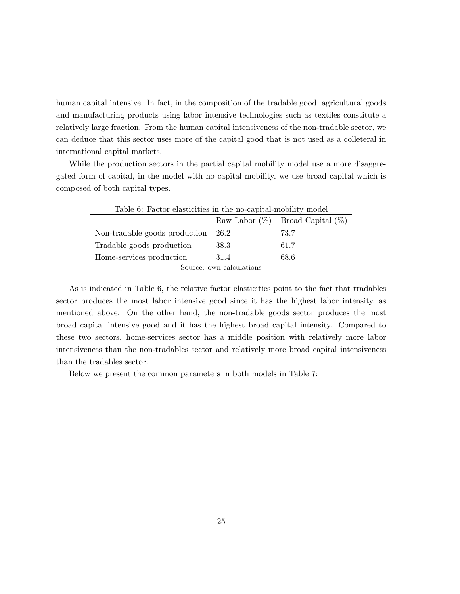human capital intensive. In fact, in the composition of the tradable good, agricultural goods and manufacturing products using labor intensive technologies such as textiles constitute a relatively large fraction. From the human capital intensiveness of the non-tradable sector, we can deduce that this sector uses more of the capital good that is not used as a colleteral in international capital markets.

While the production sectors in the partial capital mobility model use a more disaggregated form of capital, in the model with no capital mobility, we use broad capital which is composed of both capital types.

| Table 6: Factor elasticities in the no-capital-mobility model |      |                                       |  |
|---------------------------------------------------------------|------|---------------------------------------|--|
|                                                               |      | Raw Labor $(\%)$ Broad Capital $(\%)$ |  |
| Non-tradable goods production                                 | 26.2 | 73.7                                  |  |
| Tradable goods production                                     | 38.3 | 61.7                                  |  |
| Home-services production                                      | 31.4 | 68.6                                  |  |
| Carros any colorlations                                       |      |                                       |  |

Source: own calculations

As is indicated in Table 6, the relative factor elasticities point to the fact that tradables sector produces the most labor intensive good since it has the highest labor intensity, as mentioned above. On the other hand, the non-tradable goods sector produces the most broad capital intensive good and it has the highest broad capital intensity. Compared to these two sectors, home-services sector has a middle position with relatively more labor intensiveness than the non-tradables sector and relatively more broad capital intensiveness than the tradables sector.

Below we present the common parameters in both models in Table 7: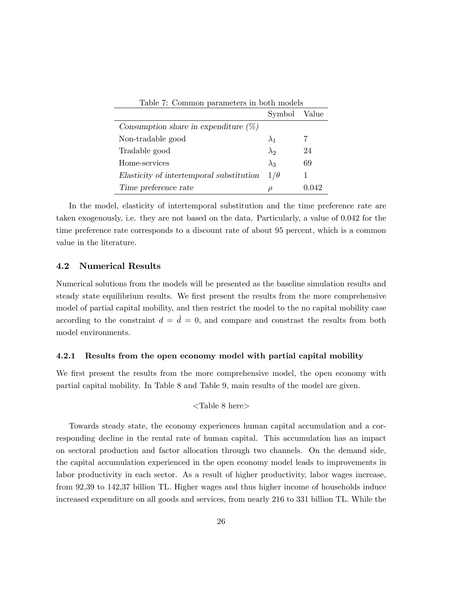| Table 7: Common parameters in both models |              |     |  |  |
|-------------------------------------------|--------------|-----|--|--|
|                                           | Symbol Value |     |  |  |
| Consumption share in expenditure $(\%)$   |              |     |  |  |
| Non-tradable good                         | $\lambda_1$  |     |  |  |
| Tradable good                             | $\lambda_2$  | 24  |  |  |
| Home-services                             | $\lambda_3$  | 69  |  |  |
| Elasticity of intertemporal substitution  | $1/\theta$   |     |  |  |
| Time preference rate                      |              | 042 |  |  |

In the model, elasticity of intertemporal substitution and the time preference rate are taken exogenously, i.e. they are not based on the data. Particularly, a value of 0.042 for the time preference rate corresponds to a discount rate of about 95 percent, which is a common value in the literature.

#### 4.2 Numerical Results

Numerical solutions from the models will be presented as the baseline simulation results and steady state equilibrium results. We first present the results from the more comprehensive model of partial capital mobility, and then restrict the model to the no capital mobility case according to the constraint  $d = \dot{d} = 0$ , and compare and constrast the results from both model environments.

#### 4.2.1 Results from the open economy model with partial capital mobility

We first present the results from the more comprehensive model, the open economy with partial capital mobility. In Table 8 and Table 9, main results of the model are given.

$$
{\rm }
$$

Towards steady state, the economy experiences human capital accumulation and a corresponding decline in the rental rate of human capital. This accumulation has an impact on sectoral production and factor allocation through two channels. On the demand side, the capital accumulation experienced in the open economy model leads to improvements in labor productivity in each sector. As a result of higher productivity, labor wages increase, from 92,39 to 142,37 billion TL. Higher wages and thus higher income of households induce increased expenditure on all goods and services, from nearly 216 to 331 billion TL. While the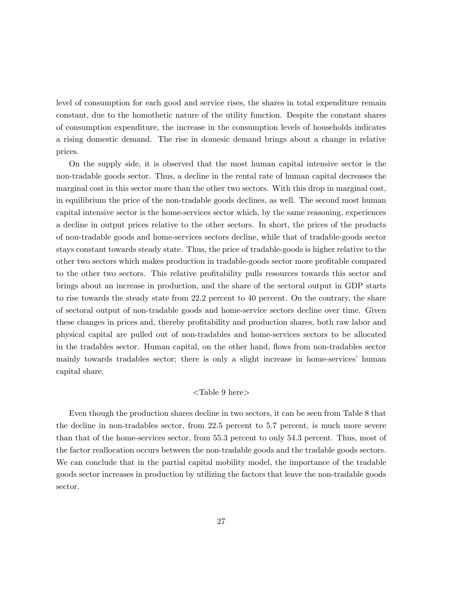level of consumption for each good and service rises, the shares in total expenditure remain constant, due to the homothetic nature of the utility function. Despite the constant shares of consumption expenditure, the increase in the consumption levels of households indicates a rising domestic demand. The rise in domesic demand brings about a change in relative prices.

On the supply side, it is observed that the most human capital intensive sector is the non-tradable goods sector. Thus, a decline in the rental rate of human capital decreases the marginal cost in this sector more than the other two sectors. With this drop in marginal cost, in equilibrium the price of the non-tradable goods declines, as well. The second most human capital intensive sector is the home-services sector which, by the same reasoning, experiences a decline in output prices relative to the other sectors. In short, the prices of the products of non-tradable goods and home-services sectors decline, while that of tradable-goods sector stays constant towards steady state. Thus, the price of tradable-goods is higher relative to the other two sectors which makes production in tradable-goods sector more profitable compared to the other two sectors. This relative profitability pulls resources towards this sector and brings about an increase in production, and the share of the sectoral output in GDP starts to rise towards the steady state from 22.2 percent to 40 percent. On the contrary, the share of sectoral output of non-tradable goods and home-service sectors decline over time. Given these changes in prices and, thereby profitability and production shares, both raw labor and physical capital are pulled out of non-tradables and home-services sectors to be allocated in the tradables sector. Human capital, on the other hand, flows from non-tradables sector mainly towards tradables sector; there is only a slight increase in home-services' human capital share.

#### <Table 9 here>

Even though the production shares decline in two sectors, it can be seen from Table 8 that the decline in non-tradables sector, from 22.5 percent to 5.7 percent, is much more severe than that of the home-services sector, from 55.3 percent to only 54.3 percent. Thus, most of the factor reallocation occurs between the non-tradable goods and the tradable goods sectors. We can conclude that in the partial capital mobility model, the importance of the tradable goods sector increases in production by utilizing the factors that leave the non-tradable goods sector.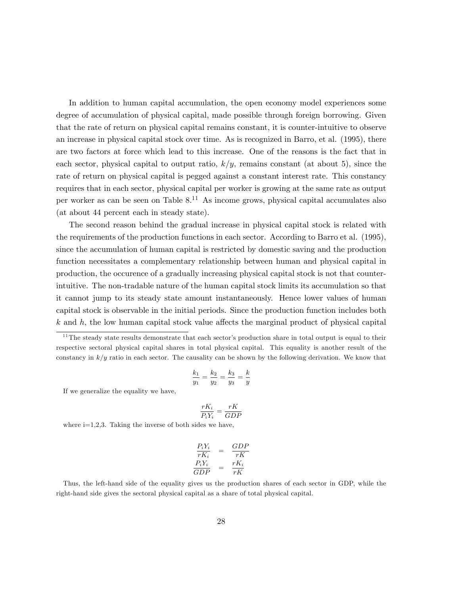In addition to human capital accumulation, the open economy model experiences some degree of accumulation of physical capital, made possible through foreign borrowing. Given that the rate of return on physical capital remains constant, it is counter-intuitive to observe an increase in physical capital stock over time. As is recognized in Barro, et al. (1995), there are two factors at force which lead to this increase. One of the reasons is the fact that in each sector, physical capital to output ratio,  $k/y$ , remains constant (at about 5), since the rate of return on physical capital is pegged against a constant interest rate. This constancy requires that in each sector, physical capital per worker is growing at the same rate as output per worker as can be seen on Table 8.<sup>11</sup> As income grows, physical capital accumulates also (at about 44 percent each in steady state).

The second reason behind the gradual increase in physical capital stock is related with the requirements of the production functions in each sector. According to Barro et al. (1995), since the accumulation of human capital is restricted by domestic saving and the production function necessitates a complementary relationship between human and physical capital in production, the occurence of a gradually increasing physical capital stock is not that counterintuitive. The non-tradable nature of the human capital stock limits its accumulation so that it cannot jump to its steady state amount instantaneously. Hence lower values of human capital stock is observable in the initial periods. Since the production function includes both  $k$  and h; the low human capital stock value affects the marginal product of physical capital

$$
\frac{k_1}{y_1} = \frac{k_2}{y_2} = \frac{k_3}{y_3} = \frac{k}{y}
$$

If we generalize the equality we have,

$$
\frac{rK_i}{P_iY_i} = \frac{rK}{GDP}
$$

where  $i=1,2,3$ . Taking the inverse of both sides we have,

$$
\begin{array}{rcl}\n\frac{P_i Y_i}{r K_i} & = & \frac{GDP}{rK} \\
\frac{P_i Y_i}{GDP} & = & \frac{r K_i}{rK}\n\end{array}
$$

Thus, the left-hand side of the equality gives us the production shares of each sector in GDP, while the right-hand side gives the sectoral physical capital as a share of total physical capital.

 $11$ The steady state results demonstrate that each sector's production share in total output is equal to their respective sectoral physical capital shares in total physical capital. This equality is another result of the constancy in  $k/y$  ratio in each sector. The causality can be shown by the following derivation. We know that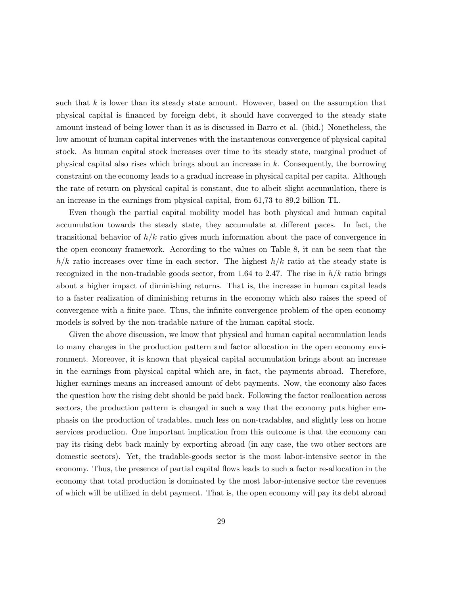such that  $k$  is lower than its steady state amount. However, based on the assumption that physical capital is Önanced by foreign debt, it should have converged to the steady state amount instead of being lower than it as is discussed in Barro et al. (ibid.) Nonetheless, the low amount of human capital intervenes with the instantenous convergence of physical capital stock. As human capital stock increases over time to its steady state, marginal product of physical capital also rises which brings about an increase in k. Consequently, the borrowing constraint on the economy leads to a gradual increase in physical capital per capita. Although the rate of return on physical capital is constant, due to albeit slight accumulation, there is an increase in the earnings from physical capital, from 61,73 to 89,2 billion TL.

Even though the partial capital mobility model has both physical and human capital accumulation towards the steady state, they accumulate at different paces. In fact, the transitional behavior of  $h/k$  ratio gives much information about the pace of convergence in the open economy framework. According to the values on Table 8, it can be seen that the  $h/k$  ratio increases over time in each sector. The highest  $h/k$  ratio at the steady state is recognized in the non-tradable goods sector, from 1.64 to 2.47. The rise in  $h/k$  ratio brings about a higher impact of diminishing returns. That is, the increase in human capital leads to a faster realization of diminishing returns in the economy which also raises the speed of convergence with a finite pace. Thus, the infinite convergence problem of the open economy models is solved by the non-tradable nature of the human capital stock.

Given the above discussion, we know that physical and human capital accumulation leads to many changes in the production pattern and factor allocation in the open economy environment. Moreover, it is known that physical capital accumulation brings about an increase in the earnings from physical capital which are, in fact, the payments abroad. Therefore, higher earnings means an increased amount of debt payments. Now, the economy also faces the question how the rising debt should be paid back. Following the factor reallocation across sectors, the production pattern is changed in such a way that the economy puts higher emphasis on the production of tradables, much less on non-tradables, and slightly less on home services production. One important implication from this outcome is that the economy can pay its rising debt back mainly by exporting abroad (in any case, the two other sectors are domestic sectors). Yet, the tradable-goods sector is the most labor-intensive sector in the economy. Thus, the presence of partial capital flows leads to such a factor re-allocation in the economy that total production is dominated by the most labor-intensive sector the revenues of which will be utilized in debt payment. That is, the open economy will pay its debt abroad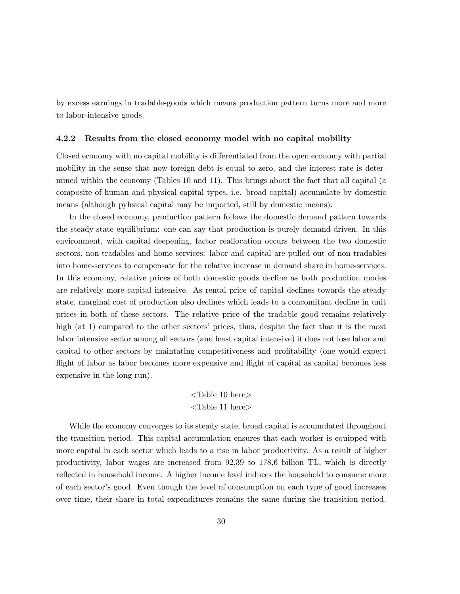by excess earnings in tradable-goods which means production pattern turns more and more to labor-intensive goods.

#### 4.2.2 Results from the closed economy model with no capital mobility

Closed economy with no capital mobility is differentiated from the open economy with partial mobility in the sense that now foreign debt is equal to zero, and the interest rate is determined within the economy (Tables 10 and 11). This brings about the fact that all capital (a composite of human and physical capital types, i.e. broad capital) accumulate by domestic means (although pyhsical capital may be imported, still by domestic means).

In the closed economy, production pattern follows the domestic demand pattern towards the steady-state equilibrium: one can say that production is purely demand-driven. In this environment, with capital deepening, factor reallocation occurs between the two domestic sectors, non-tradables and home services: labor and capital are pulled out of non-tradables into home-services to compensate for the relative increase in demand share in home-services. In this economy, relative prices of both domestic goods decline as both production modes are relatively more capital intensive. As rental price of capital declines towards the steady state, marginal cost of production also declines which leads to a concomitant decline in unit prices in both of these sectors. The relative price of the tradable good remains relatively high  $(at 1)$  compared to the other sectors' prices, thus, despite the fact that it is the most labor intensive sector among all sectors (and least capital intensive) it does not lose labor and capital to other sectors by maintating competitiveness and profitability (one would expect flight of labor as labor becomes more expensive and flight of capital as capital becomes less expensive in the long-run).

### <Table 10 here> <Table 11 here>

While the economy converges to its steady state, broad capital is accumulated throughout the transition period. This capital accumulation ensures that each worker is equipped with more capital in each sector which leads to a rise in labor productivity. As a result of higher productivity, labor wages are increased from 92,39 to 178,6 billion TL, which is directly reflected in household income. A higher income level induces the household to consume more of each sector's good. Even though the level of consumption on each type of good increases over time, their share in total expenditures remains the same during the transition period.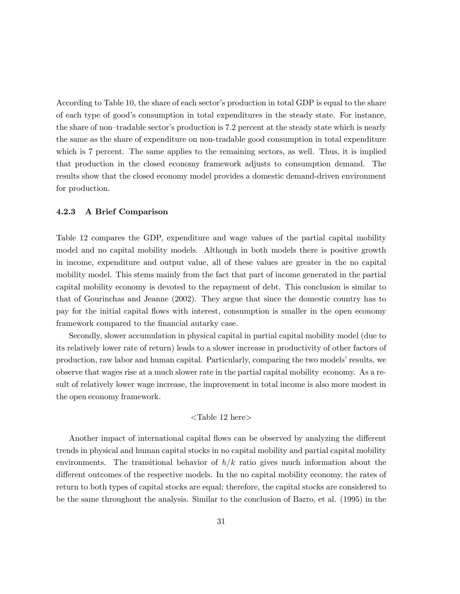According to Table 10, the share of each sector's production in total GDP is equal to the share of each type of goodís consumption in total expenditures in the steady state. For instance, the share of non-tradable sector's production is 7.2 percent at the steady state which is nearly the same as the share of expenditure on non-tradable good consumption in total expenditure which is 7 percent. The same applies to the remaining sectors, as well. Thus, it is implied that production in the closed economy framework adjusts to consumption demand. The results show that the closed economy model provides a domestic demand-driven environment for production.

#### 4.2.3 A Brief Comparison

Table 12 compares the GDP, expenditure and wage values of the partial capital mobility model and no capital mobility models. Although in both models there is positive growth in income, expenditure and output value, all of these values are greater in the no capital mobility model. This stems mainly from the fact that part of income generated in the partial capital mobility economy is devoted to the repayment of debt. This conclusion is similar to that of Gourinchas and Jeanne (2002). They argue that since the domestic country has to pay for the initial capital áows with interest, consumption is smaller in the open economy framework compared to the financial autarky case.

Secondly, slower accumulation in physical capital in partial capital mobility model (due to its relatively lower rate of return) leads to a slower increase in productivity of other factors of production, raw labor and human capital. Particularly, comparing the two models' results, we observe that wages rise at a much slower rate in the partial capital mobility economy. As a result of relatively lower wage increase, the improvement in total income is also more modest in the open economy framework.

#### <Table 12 here>

Another impact of international capital flows can be observed by analyzing the different trends in physical and human capital stocks in no capital mobility and partial capital mobility environments. The transitional behavior of  $h/k$  ratio gives much information about the different outcomes of the respective models. In the no capital mobility economy, the rates of return to both types of capital stocks are equal; therefore, the capital stocks are considered to be the same throughout the analysis. Similar to the conclusion of Barro, et al. (1995) in the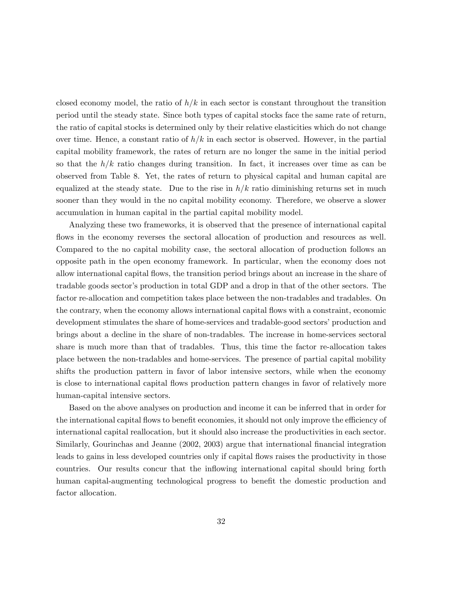closed economy model, the ratio of  $h/k$  in each sector is constant throughout the transition period until the steady state. Since both types of capital stocks face the same rate of return, the ratio of capital stocks is determined only by their relative elasticities which do not change over time. Hence, a constant ratio of  $h/k$  in each sector is observed. However, in the partial capital mobility framework, the rates of return are no longer the same in the initial period so that the  $h/k$  ratio changes during transition. In fact, it increases over time as can be observed from Table 8. Yet, the rates of return to physical capital and human capital are equalized at the steady state. Due to the rise in  $h/k$  ratio diminishing returns set in much sooner than they would in the no capital mobility economy. Therefore, we observe a slower accumulation in human capital in the partial capital mobility model.

Analyzing these two frameworks, it is observed that the presence of international capital flows in the economy reverses the sectoral allocation of production and resources as well. Compared to the no capital mobility case, the sectoral allocation of production follows an opposite path in the open economy framework. In particular, when the economy does not allow international capital áows, the transition period brings about an increase in the share of tradable goods sector's production in total GDP and a drop in that of the other sectors. The factor re-allocation and competition takes place between the non-tradables and tradables. On the contrary, when the economy allows international capital áows with a constraint, economic development stimulates the share of home-services and tradable-good sectors' production and brings about a decline in the share of non-tradables. The increase in home-services sectoral share is much more than that of tradables. Thus, this time the factor re-allocation takes place between the non-tradables and home-services. The presence of partial capital mobility shifts the production pattern in favor of labor intensive sectors, while when the economy is close to international capital áows production pattern changes in favor of relatively more human-capital intensive sectors.

Based on the above analyses on production and income it can be inferred that in order for the international capital flows to benefit economies, it should not only improve the efficiency of international capital reallocation, but it should also increase the productivities in each sector. Similarly, Gourinchas and Jeanne (2002, 2003) argue that international financial integration leads to gains in less developed countries only if capital flows raises the productivity in those countries. Our results concur that the inflowing international capital should bring forth human capital-augmenting technological progress to benefit the domestic production and factor allocation.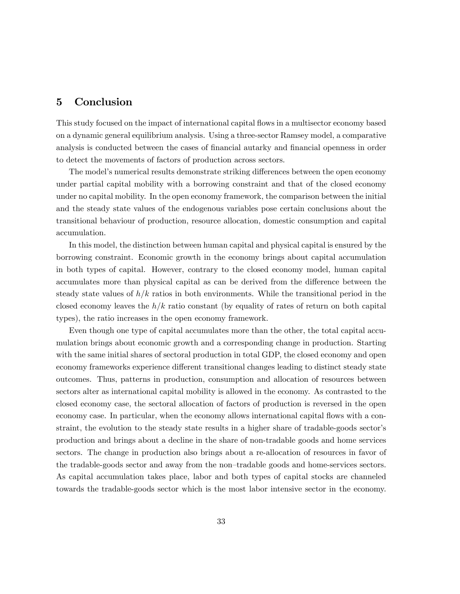## 5 Conclusion

This study focused on the impact of international capital áows in a multisector economy based on a dynamic general equilibrium analysis. Using a three-sector Ramsey model, a comparative analysis is conducted between the cases of financial autarky and financial openness in order to detect the movements of factors of production across sectors.

The model's numerical results demonstrate striking differences between the open economy under partial capital mobility with a borrowing constraint and that of the closed economy under no capital mobility. In the open economy framework, the comparison between the initial and the steady state values of the endogenous variables pose certain conclusions about the transitional behaviour of production, resource allocation, domestic consumption and capital accumulation.

In this model, the distinction between human capital and physical capital is ensured by the borrowing constraint. Economic growth in the economy brings about capital accumulation in both types of capital. However, contrary to the closed economy model, human capital accumulates more than physical capital as can be derived from the difference between the steady state values of  $h/k$  ratios in both environments. While the transitional period in the closed economy leaves the  $h/k$  ratio constant (by equality of rates of return on both capital types), the ratio increases in the open economy framework.

Even though one type of capital accumulates more than the other, the total capital accumulation brings about economic growth and a corresponding change in production. Starting with the same initial shares of sectoral production in total GDP, the closed economy and open economy frameworks experience different transitional changes leading to distinct steady state outcomes. Thus, patterns in production, consumption and allocation of resources between sectors alter as international capital mobility is allowed in the economy. As contrasted to the closed economy case, the sectoral allocation of factors of production is reversed in the open economy case. In particular, when the economy allows international capital flows with a constraint, the evolution to the steady state results in a higher share of tradable-goods sector's production and brings about a decline in the share of non-tradable goods and home services sectors. The change in production also brings about a re-allocation of resources in favor of the tradable-goods sector and away from the non-tradable goods and home-services sectors. As capital accumulation takes place, labor and both types of capital stocks are channeled towards the tradable-goods sector which is the most labor intensive sector in the economy.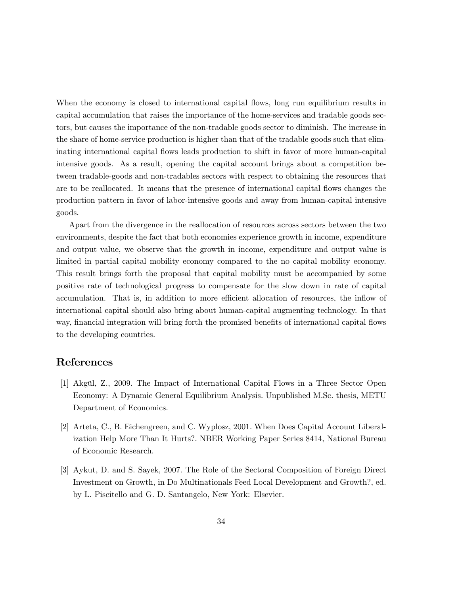When the economy is closed to international capital flows, long run equilibrium results in capital accumulation that raises the importance of the home-services and tradable goods sectors, but causes the importance of the non-tradable goods sector to diminish. The increase in the share of home-service production is higher than that of the tradable goods such that eliminating international capital áows leads production to shift in favor of more human-capital intensive goods. As a result, opening the capital account brings about a competition between tradable-goods and non-tradables sectors with respect to obtaining the resources that are to be reallocated. It means that the presence of international capital flows changes the production pattern in favor of labor-intensive goods and away from human-capital intensive goods.

Apart from the divergence in the reallocation of resources across sectors between the two environments, despite the fact that both economies experience growth in income, expenditure and output value, we observe that the growth in income, expenditure and output value is limited in partial capital mobility economy compared to the no capital mobility economy. This result brings forth the proposal that capital mobility must be accompanied by some positive rate of technological progress to compensate for the slow down in rate of capital accumulation. That is, in addition to more efficient allocation of resources, the inflow of international capital should also bring about human-capital augmenting technology. In that way, financial integration will bring forth the promised benefits of international capital flows to the developing countries.

## References

- [1] Akgül, Z., 2009. The Impact of International Capital Flows in a Three Sector Open Economy: A Dynamic General Equilibrium Analysis. Unpublished M.Sc. thesis, METU Department of Economics.
- [2] Arteta, C., B. Eichengreen, and C. Wyplosz, 2001. When Does Capital Account Liberalization Help More Than It Hurts?. NBER Working Paper Series 8414, National Bureau of Economic Research.
- [3] Aykut, D. and S. Sayek, 2007. The Role of the Sectoral Composition of Foreign Direct Investment on Growth, in Do Multinationals Feed Local Development and Growth?, ed. by L. Piscitello and G. D. Santangelo, New York: Elsevier.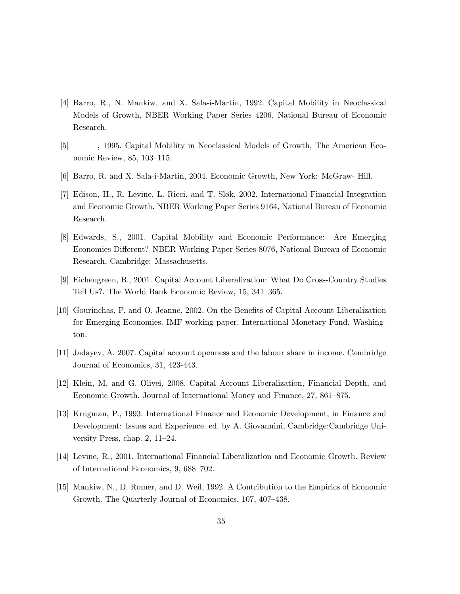- [4] Barro, R., N. Mankiw, and X. Sala-i-Martin, 1992. Capital Mobility in Neoclassical Models of Growth, NBER Working Paper Series 4206, National Bureau of Economic Research.
- [5] <sup>3</sup> [5] <sup>3</sup> (5) <sup>5</sup> (5) <sup>5</sup> (5) <sup>5</sup> (5) <sup>5</sup> (5) <sup>5</sup> (5) <sup>5</sup> (5) <sup>5</sup> (5) <sup>5</sup> (5) <sup>5</sup> (5) <sup>5</sup> (5) <sup>5</sup> (5) <sup>5</sup> (5) <sup>5</sup> (5) <sup>5</sup> (5) <sup>5</sup> (5) <sup>5</sup> (5) <sup>5</sup> (5) <sup>5</sup> (5) <sup>5</sup> (5) <sup>5</sup> (5) <sup>5</sup> (5) <sup>5</sup> (5) <sup>5</sup> (5) <sup>5</sup> (5) <sup>5</sup> (5) <sup>5</sup> nomic Review,  $85, 103-115$ .
- [6] Barro, R. and X. Sala-i-Martin, 2004. Economic Growth, New York: McGraw- Hill.
- [7] Edison, H., R. Levine, L. Ricci, and T. Sl¯k, 2002. International Financial Integration and Economic Growth. NBER Working Paper Series 9164, National Bureau of Economic Research.
- [8] Edwards, S., 2001. Capital Mobility and Economic Performance: Are Emerging Economies Different? NBER Working Paper Series 8076, National Bureau of Economic Research, Cambridge: Massachusetts.
- [9] Eichengreen, B., 2001. Capital Account Liberalization: What Do Cross-Country Studies Tell Us?. The World Bank Economic Review, 15, 341–365.
- [10] Gourinchas, P. and O. Jeanne, 2002. On the Benefits of Capital Account Liberalization for Emerging Economies. IMF working paper, International Monetary Fund, Washington.
- [11] Jadayev, A. 2007. Capital account openness and the labour share in income. Cambridge Journal of Economics, 31, 423-443.
- [12] Klein, M. and G. Olivei, 2008. Capital Account Liberalization, Financial Depth, and Economic Growth. Journal of International Money and Finance, 27, 861–875.
- [13] Krugman, P., 1993. International Finance and Economic Development, in Finance and Development: Issues and Experience. ed. by A. Giovannini, Cambridge:Cambridge University Press, chap.  $2, 11-24$ .
- [14] Levine, R., 2001. International Financial Liberalization and Economic Growth. Review of International Economics, 9, 688–702.
- [15] Mankiw, N., D. Romer, and D. Weil, 1992. A Contribution to the Empirics of Economic Growth. The Quarterly Journal of Economics, 107, 407-438.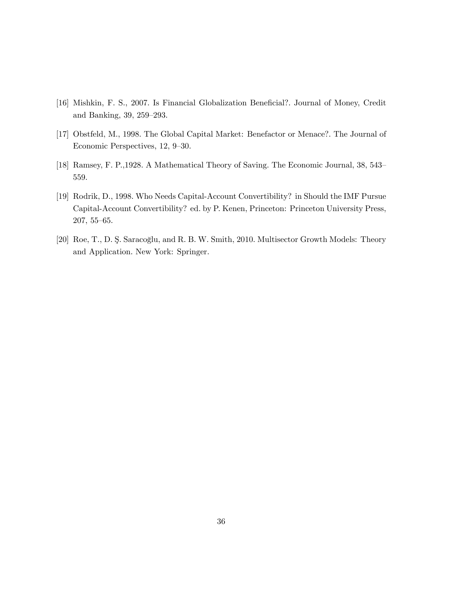- [16] Mishkin, F. S., 2007. Is Financial Globalization Beneficial?. Journal of Money, Credit and Banking,  $39, 259-293$ .
- [17] Obstfeld, M., 1998. The Global Capital Market: Benefactor or Menace?. The Journal of Economic Perspectives, 12, 9–30.
- [18] Ramsey, F. P., 1928. A Mathematical Theory of Saving. The Economic Journal, 38, 543– 559.
- [19] Rodrik, D., 1998. Who Needs Capital-Account Convertibility? in Should the IMF Pursue Capital-Account Convertibility? ed. by P. Kenen, Princeton: Princeton University Press,  $207, 55 - 65.$
- [20] Roe, T., D. Ş. Saracoğlu, and R. B. W. Smith, 2010. Multisector Growth Models: Theory and Application. New York: Springer.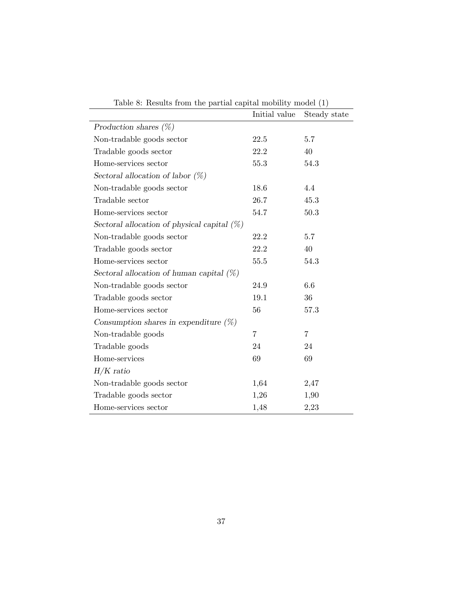| rable $\sigma$ . Results from the partial explori mobility moder $\sigma$ | Initial value  | Steady state   |
|---------------------------------------------------------------------------|----------------|----------------|
| Production shares $(\%)$                                                  |                |                |
| Non-tradable goods sector                                                 | 22.5           | 5.7            |
| Tradable goods sector                                                     | 22.2           | 40             |
| Home-services sector                                                      | 55.3           | 54.3           |
| Sectoral allocation of labor $(\%)$                                       |                |                |
| Non-tradable goods sector                                                 | 18.6           | 4.4            |
| Tradable sector                                                           | 26.7           | 45.3           |
| Home-services sector                                                      | 54.7           | 50.3           |
| Sectoral allocation of physical capital $(\%)$                            |                |                |
| Non-tradable goods sector                                                 | 22.2           | 5.7            |
| Tradable goods sector                                                     | 22.2           | 40             |
| Home-services sector                                                      | 55.5           | 54.3           |
| Sectoral allocation of human capital $(\%)$                               |                |                |
| Non-tradable goods sector                                                 | 24.9           | 6.6            |
| Tradable goods sector                                                     | 19.1           | 36             |
| Home-services sector                                                      | 56             | 57.3           |
| Consumption shares in expenditure $(\%)$                                  |                |                |
| Non-tradable goods                                                        | $\overline{7}$ | $\overline{7}$ |
| Tradable goods                                                            | 24             | 24             |
| Home-services                                                             | 69             | 69             |
| $H/K$ ratio                                                               |                |                |
| Non-tradable goods sector                                                 | 1,64           | 2,47           |
| Tradable goods sector                                                     | 1,26           | 1,90           |
| Home-services sector                                                      | 1,48           | 2,23           |

Table 8: Results from the partial capital mobility model (1)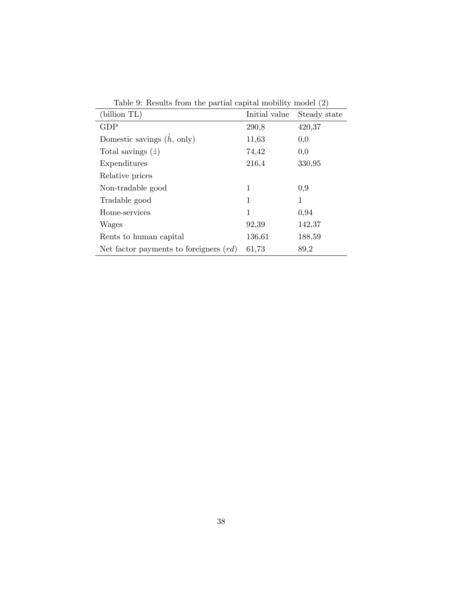| (billion TL)                             | Initial value | Steady state |
|------------------------------------------|---------------|--------------|
| <b>GDP</b>                               | 290,8         | 420,37       |
|                                          |               |              |
| Domestic savings $(h, \text{ only})$     | 11,63         | 0,0          |
| Total savings $(\dot{z})$                | 74,42         | 0,0          |
| Expenditures                             | 216,4         | 330,95       |
| Relative prices                          |               |              |
| Non-tradable good                        | 1             | 0,9          |
| Tradable good                            | 1             | 1            |
| Home-services                            | 1             | 0,94         |
| Wages                                    | 92,39         | 142,37       |
| Rents to human capital                   | 136,61        | 188,59       |
| Net factor payments to foreigners $(rd)$ | 61,73         | 89,2         |

Table 9: Results from the partial capital mobility model (2)

L,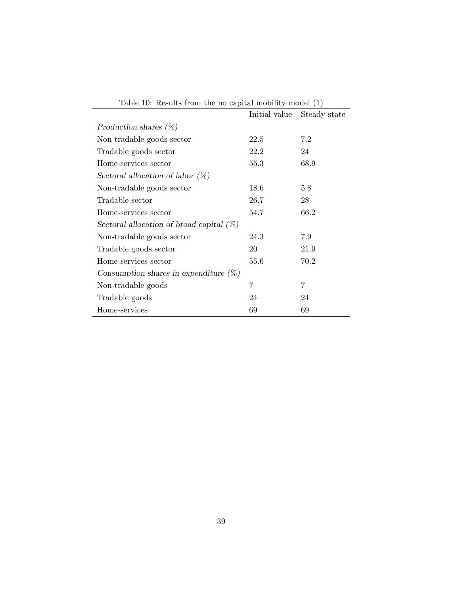|                                             | Initial value | Steady state |
|---------------------------------------------|---------------|--------------|
| Production shares $(\%)$                    |               |              |
| Non-tradable goods sector                   | 22.5          | 7.2          |
| Tradable goods sector                       | 22.2          | 24           |
| Home-services sector                        | 55.3          | 68.9         |
| Sectoral allocation of labor $(\%)$         |               |              |
| Non-tradable goods sector                   | 18.6          | 5.8          |
| Tradable sector                             | 26.7          | 28           |
| Home-services sector                        | 54.7          | 66.2         |
| Sectoral allocation of broad capital $(\%)$ |               |              |
| Non-tradable goods sector                   | 24.3          | 7.9          |
| Tradable goods sector                       | 20            | 21.9         |
| Home-services sector                        | 55.6          | 70.2         |
| Consumption shares in expenditure $(\%)$    |               |              |
| Non-tradable goods                          | 7             | 7            |
| Tradable goods                              | 24            | 24           |
| Home-services                               | 69            | 69           |

Table 10: Results from the no capital mobility model (1)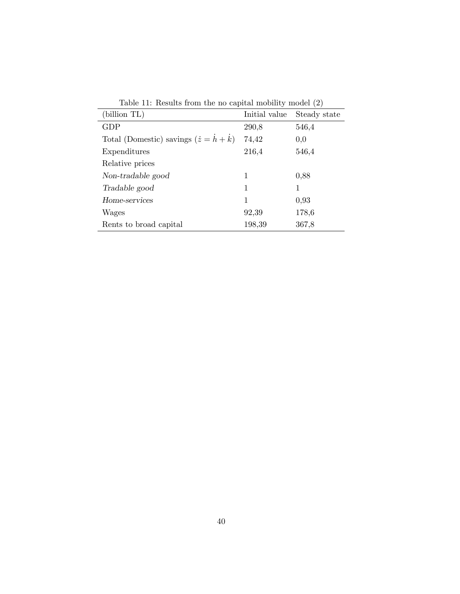|                                                          | <b>TODIC II.</b> Iteourios from the no-eapled mobility model (2) |              |  |  |
|----------------------------------------------------------|------------------------------------------------------------------|--------------|--|--|
| (billion TL)                                             | Initial value                                                    | Steady state |  |  |
| <b>GDP</b>                                               | 290,8                                                            | 546,4        |  |  |
| Total (Domestic) savings $(\dot{z} = \dot{h} + \dot{k})$ | 74,42                                                            | 0,0          |  |  |
| Expenditures                                             | 216,4                                                            | 546,4        |  |  |
| Relative prices                                          |                                                                  |              |  |  |
| Non-tradable good                                        | 1                                                                | 0,88         |  |  |
| Tradable good                                            | 1                                                                | 1            |  |  |
| Home-services                                            | 1                                                                | 0,93         |  |  |
| Wages                                                    | 92,39                                                            | 178,6        |  |  |
| Rents to broad capital                                   | 198,39                                                           | 367,8        |  |  |

Table 11: Results from the no capital mobility model (2)